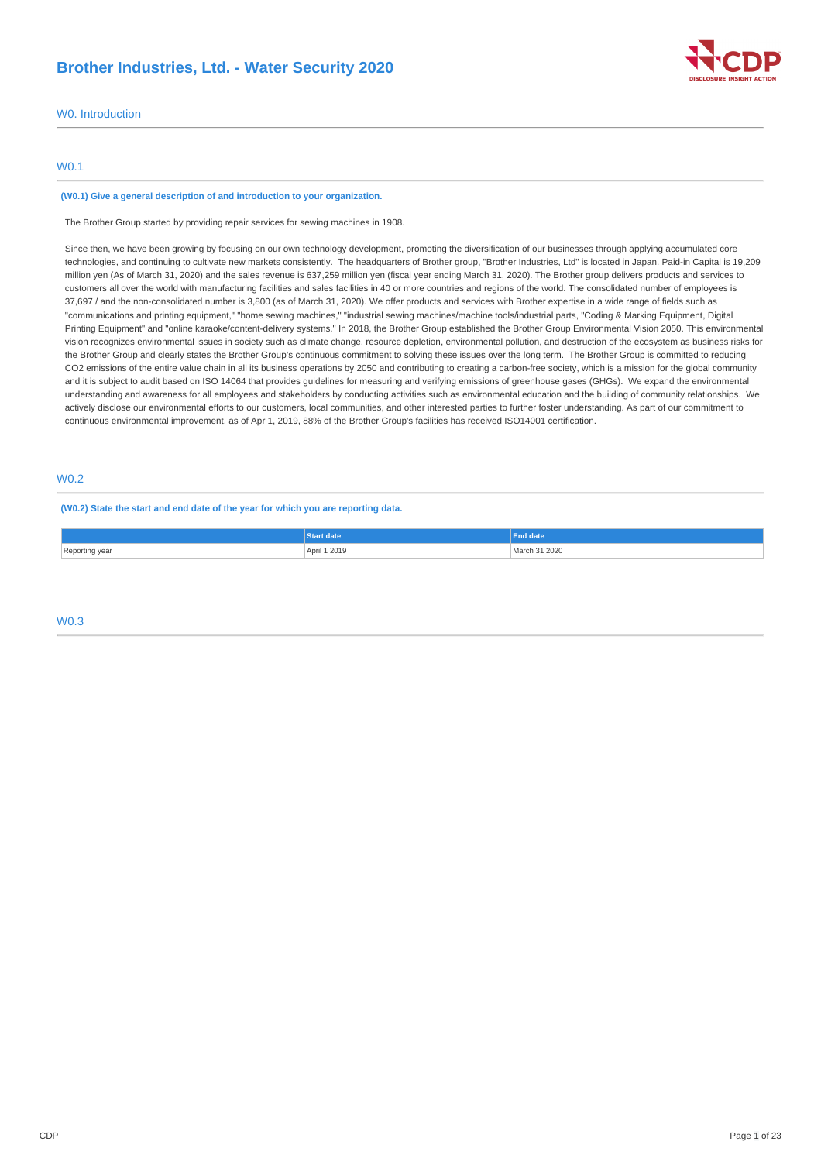# **Brother Industries, Ltd. - Water Security 2020**



### W0. Introduction

### W0.1

#### **(W0.1) Give a general description of and introduction to your organization.**

The Brother Group started by providing repair services for sewing machines in 1908.

Since then, we have been growing by focusing on our own technology development, promoting the diversification of our businesses through applying accumulated core technologies, and continuing to cultivate new markets consistently. The headquarters of Brother group, "Brother Industries, Ltd" is located in Japan. Paid-in Capital is 19,209 million yen (As of March 31, 2020) and the sales revenue is 637,259 million yen (fiscal year ending March 31, 2020). The Brother group delivers products and services to customers all over the world with manufacturing facilities and sales facilities in 40 or more countries and regions of the world. The consolidated number of employees is 37,697 / and the non-consolidated number is 3,800 (as of March 31, 2020). We offer products and services with Brother expertise in a wide range of fields such as "communications and printing equipment," "home sewing machines," "industrial sewing machines/machine tools/industrial parts, "Coding & Marking Equipment, Digital Printing Equipment" and "online karaoke/content-delivery systems." In 2018, the Brother Group established the Brother Group Environmental Vision 2050. This environmental vision recognizes environmental issues in society such as climate change, resource depletion, environmental pollution, and destruction of the ecosystem as business risks for the Brother Group and clearly states the Brother Group's continuous commitment to solving these issues over the long term. The Brother Group is committed to reducing CO2 emissions of the entire value chain in all its business operations by 2050 and contributing to creating a carbon-free society, which is a mission for the global community and it is subject to audit based on ISO 14064 that provides guidelines for measuring and verifying emissions of greenhouse gases (GHGs). We expand the environmental understanding and awareness for all employees and stakeholders by conducting activities such as environmental education and the building of community relationships. We actively disclose our environmental efforts to our customers, local communities, and other interested parties to further foster understanding. As part of our commitment to continuous environmental improvement, as of Apr 1, 2019, 88% of the Brother Group's facilities has received ISO14001 certification.

# W0.2

**(W0.2) State the start and end date of the year for which you are reporting data.**

|                     | date<br>en e        | End date           |
|---------------------|---------------------|--------------------|
| Renorting year<br>. | ril 1 2019<br>Anril | 31 2020<br>Jarch 1 |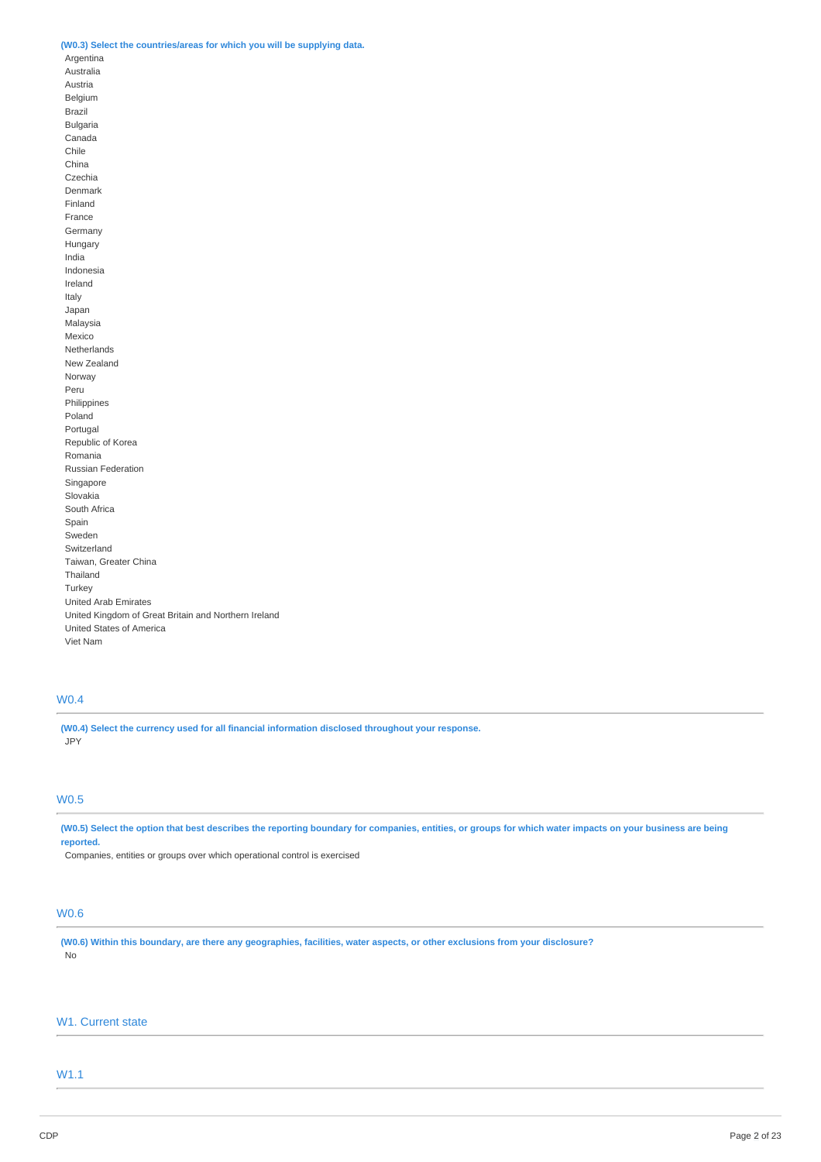### **(W0.3) Select the countries/areas for which you will be supplying data.**

Argentina Australia Austria Belgium Brazil

Bulgaria Canada Chile China Czechia Denmark Finland France Germany Hungary India Indonesia Ireland Italy Japan Malaysia Mexico Netherlands New Zealand Norway Peru Philippines Poland Portugal Republic of Korea Romania Russian Federation Singapore Slovakia South Africa Spain Sweden Switzerland Taiwan, Greater China Thailand Turkey United Arab Emirates United Kingdom of Great Britain and Northern Ireland United States of America Viet Nam

# W0.4

**(W0.4) Select the currency used for all financial information disclosed throughout your response.** JPY

### W0.5

(W0.5) Select the option that best describes the reporting boundary for companies, entities, or groups for which water impacts on your business are being **reported.**

Companies, entities or groups over which operational control is exercised

# W0.6

(W0.6) Within this boundary, are there any geographies, facilities, water aspects, or other exclusions from your disclosure? No

# W1. Current state

# W1.1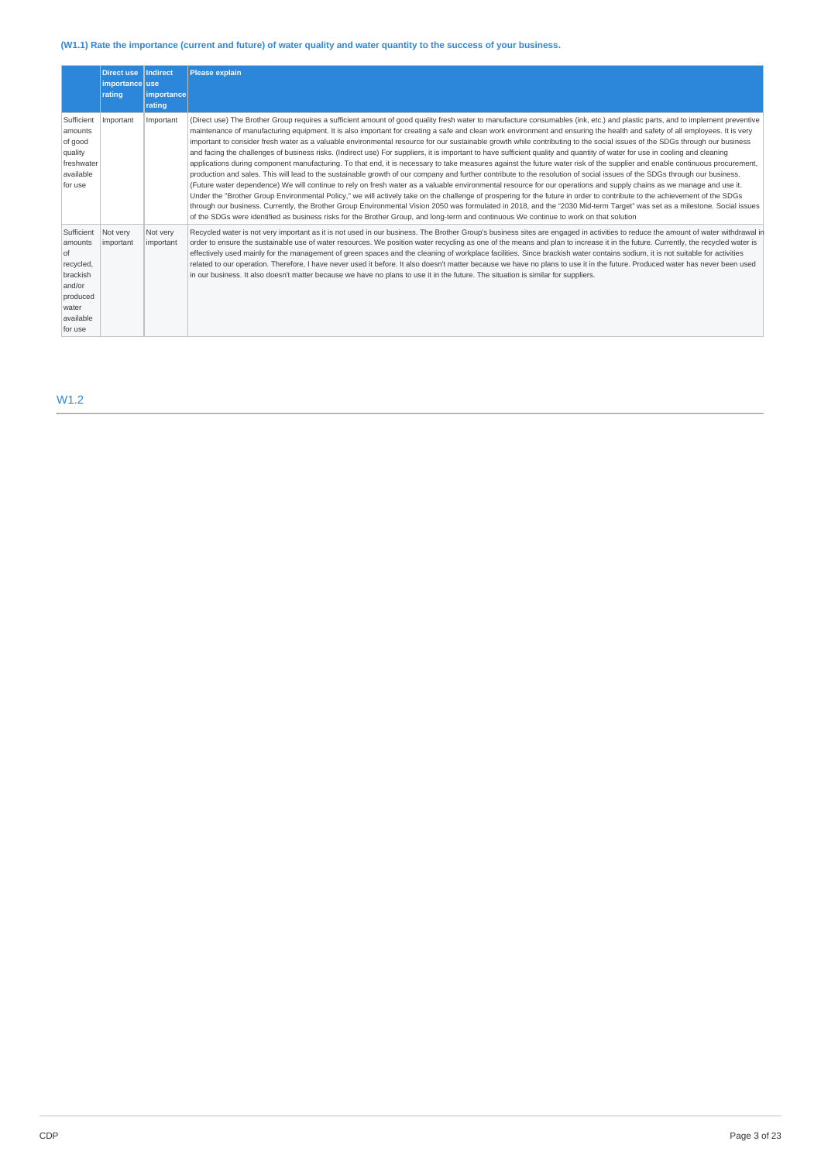# (W1.1) Rate the importance (current and future) of water quality and water quantity to the success of your business.

|                                                                                                             | Direct use<br>importance use<br>rating | <b>Indirect</b><br><b>limportancel</b><br>rating | <b>Please explain</b>                                                                                                                                                                                                                                                                                                                                                                                                                                                                                                                                                                                                                                                                                                                                                                                                                                                                                                                                                                                                                                                                                                                                                                                                                                                                                                                                                                                                                                                                                                                                                                                                                                                                                                                                             |
|-------------------------------------------------------------------------------------------------------------|----------------------------------------|--------------------------------------------------|-------------------------------------------------------------------------------------------------------------------------------------------------------------------------------------------------------------------------------------------------------------------------------------------------------------------------------------------------------------------------------------------------------------------------------------------------------------------------------------------------------------------------------------------------------------------------------------------------------------------------------------------------------------------------------------------------------------------------------------------------------------------------------------------------------------------------------------------------------------------------------------------------------------------------------------------------------------------------------------------------------------------------------------------------------------------------------------------------------------------------------------------------------------------------------------------------------------------------------------------------------------------------------------------------------------------------------------------------------------------------------------------------------------------------------------------------------------------------------------------------------------------------------------------------------------------------------------------------------------------------------------------------------------------------------------------------------------------------------------------------------------------|
| Sufficient<br>amounts<br>of good<br>quality<br>freshwater<br>available<br>for use                           | Important                              | Important                                        | (Direct use) The Brother Group requires a sufficient amount of good quality fresh water to manufacture consumables (ink, etc.) and plastic parts, and to implement preventive<br>maintenance of manufacturing equipment. It is also important for creating a safe and clean work environment and ensuring the health and safety of all employees. It is very<br>important to consider fresh water as a valuable environmental resource for our sustainable growth while contributing to the social issues of the SDGs through our business<br>and facing the challenges of business risks. (Indirect use) For suppliers, it is important to have sufficient quality and quantity of water for use in cooling and cleaning<br>applications during component manufacturing. To that end, it is necessary to take measures against the future water risk of the supplier and enable continuous procurement,<br>production and sales. This will lead to the sustainable growth of our company and further contribute to the resolution of social issues of the SDGs through our business.<br>(Future water dependence) We will continue to rely on fresh water as a valuable environmental resource for our operations and supply chains as we manage and use it.<br>Under the "Brother Group Environmental Policy," we will actively take on the challenge of prospering for the future in order to contribute to the achievement of the SDGs<br>through our business. Currently, the Brother Group Environmental Vision 2050 was formulated in 2018, and the "2030 Mid-term Target" was set as a milestone. Social issues<br>of the SDGs were identified as business risks for the Brother Group, and long-term and continuous We continue to work on that solution |
| Sufficient<br>amounts<br>0f<br>recycled,<br>brackish<br>and/or<br>produced<br>water<br>available<br>for use | Not very<br>important                  | Not very<br>important                            | Recycled water is not very important as it is not used in our business. The Brother Group's business sites are engaged in activities to reduce the amount of water withdrawal in<br>order to ensure the sustainable use of water resources. We position water recycling as one of the means and plan to increase it in the future. Currently, the recycled water is<br>effectively used mainly for the management of green spaces and the cleaning of workplace facilities. Since brackish water contains sodium, it is not suitable for activities<br>related to our operation. Therefore, I have never used it before. It also doesn't matter because we have no plans to use it in the future. Produced water has never been used<br>in our business. It also doesn't matter because we have no plans to use it in the future. The situation is similar for suppliers.                                                                                                                                                                                                                                                                                                                                                                                                                                                                                                                                                                                                                                                                                                                                                                                                                                                                                         |

# W1.2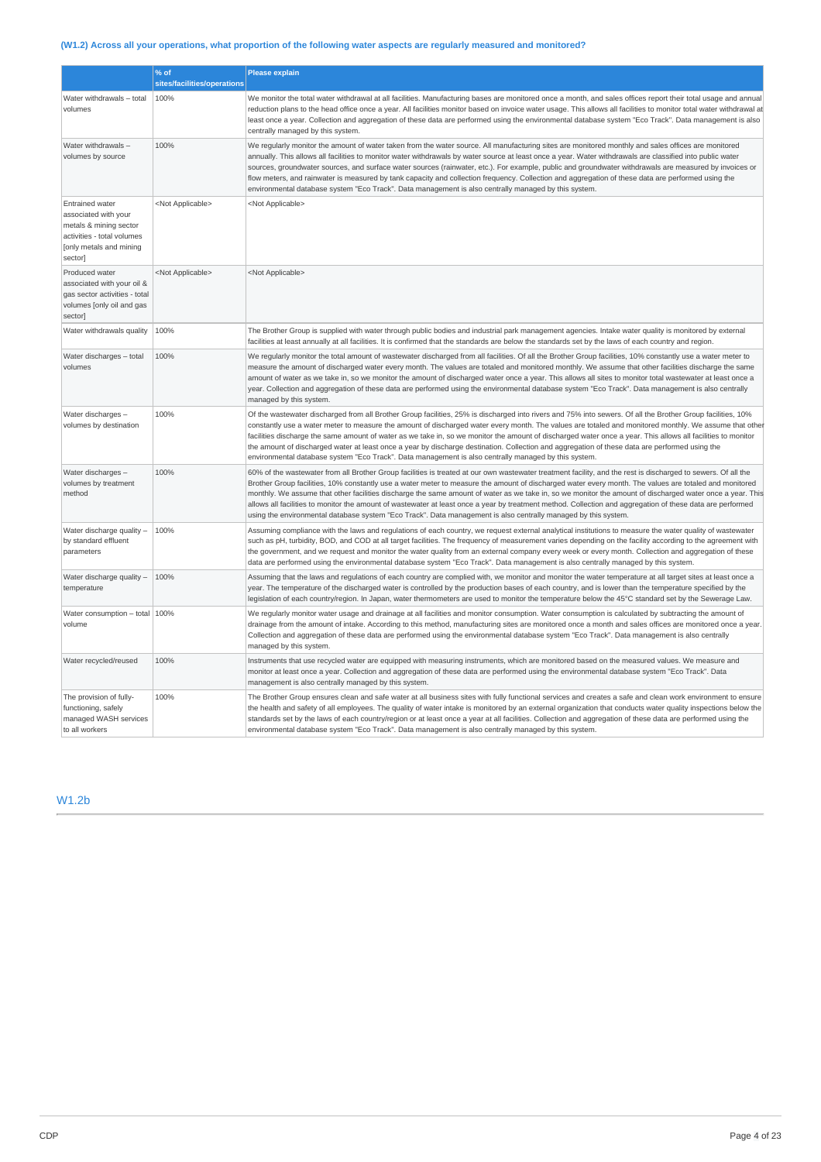# (W1.2) Across all your operations, what proportion of the following water aspects are regularly measured and monitored?

|                                                                                                                                              | % of                        | <b>Please explain</b>                                                                                                                                                                                                                                                                                                                                                                                                                                                                                                                                                                                                                                                                                                                                                |
|----------------------------------------------------------------------------------------------------------------------------------------------|-----------------------------|----------------------------------------------------------------------------------------------------------------------------------------------------------------------------------------------------------------------------------------------------------------------------------------------------------------------------------------------------------------------------------------------------------------------------------------------------------------------------------------------------------------------------------------------------------------------------------------------------------------------------------------------------------------------------------------------------------------------------------------------------------------------|
|                                                                                                                                              | sites/facilities/operations |                                                                                                                                                                                                                                                                                                                                                                                                                                                                                                                                                                                                                                                                                                                                                                      |
| Water withdrawals - total<br>volumes                                                                                                         | 100%                        | We monitor the total water withdrawal at all facilities. Manufacturing bases are monitored once a month, and sales offices report their total usage and annual<br>reduction plans to the head office once a year. All facilities monitor based on invoice water usage. This allows all facilities to monitor total water withdrawal at<br>least once a year. Collection and aggregation of these data are performed using the environmental database system "Eco Track". Data management is also<br>centrally managed by this system.                                                                                                                                                                                                                                |
| Water withdrawals-<br>volumes by source                                                                                                      | 100%                        | We regularly monitor the amount of water taken from the water source. All manufacturing sites are monitored monthly and sales offices are monitored<br>annually. This allows all facilities to monitor water withdrawals by water source at least once a year. Water withdrawals are classified into public water<br>sources, groundwater sources, and surface water sources (rainwater, etc.). For example, public and groundwater withdrawals are measured by invoices or<br>flow meters, and rainwater is measured by tank capacity and collection frequency. Collection and aggregation of these data are performed using the<br>environmental database system "Eco Track". Data management is also centrally managed by this system.                            |
| <b>Entrained water</b><br>associated with your<br>metals & mining sector<br>activities - total volumes<br>[only metals and mining<br>sector] | <not applicable=""></not>   | <not applicable=""></not>                                                                                                                                                                                                                                                                                                                                                                                                                                                                                                                                                                                                                                                                                                                                            |
| Produced water<br>associated with your oil &<br>gas sector activities - total<br>volumes [only oil and gas<br>sector]                        | <not applicable=""></not>   | <not applicable=""></not>                                                                                                                                                                                                                                                                                                                                                                                                                                                                                                                                                                                                                                                                                                                                            |
| Water withdrawals quality                                                                                                                    | 100%                        | The Brother Group is supplied with water through public bodies and industrial park management agencies. Intake water quality is monitored by external<br>facilities at least annually at all facilities. It is confirmed that the standards are below the standards set by the laws of each country and region.                                                                                                                                                                                                                                                                                                                                                                                                                                                      |
| Water discharges - total<br>volumes                                                                                                          | 100%                        | We regularly monitor the total amount of wastewater discharged from all facilities. Of all the Brother Group facilities, 10% constantly use a water meter to<br>measure the amount of discharged water every month. The values are totaled and monitored monthly. We assume that other facilities discharge the same<br>amount of water as we take in, so we monitor the amount of discharged water once a year. This allows all sites to monitor total wastewater at least once a<br>year. Collection and aggregation of these data are performed using the environmental database system "Eco Track". Data management is also centrally<br>managed by this system.                                                                                                 |
| Water discharges -<br>volumes by destination                                                                                                 | 100%                        | Of the wastewater discharged from all Brother Group facilities, 25% is discharged into rivers and 75% into sewers. Of all the Brother Group facilities, 10%<br>constantly use a water meter to measure the amount of discharged water every month. The values are totaled and monitored monthly. We assume that other<br>facilities discharge the same amount of water as we take in, so we monitor the amount of discharged water once a year. This allows all facilities to monitor<br>the amount of discharged water at least once a year by discharge destination. Collection and aggregation of these data are performed using the<br>environmental database system "Eco Track". Data management is also centrally managed by this system.                      |
| Water discharges -<br>volumes by treatment<br>method                                                                                         | 100%                        | 60% of the wastewater from all Brother Group facilities is treated at our own wastewater treatment facility, and the rest is discharged to sewers. Of all the<br>Brother Group facilities, 10% constantly use a water meter to measure the amount of discharged water every month. The values are totaled and monitored<br>monthly. We assume that other facilities discharge the same amount of water as we take in, so we monitor the amount of discharged water once a year. This<br>allows all facilities to monitor the amount of wastewater at least once a year by treatment method. Collection and aggregation of these data are performed<br>using the environmental database system "Eco Track". Data management is also centrally managed by this system. |
| Water discharge quality -<br>by standard effluent<br>parameters                                                                              | 100%                        | Assuming compliance with the laws and regulations of each country, we request external analytical institutions to measure the water quality of wastewater<br>such as pH, turbidity, BOD, and COD at all target facilities. The frequency of measurement varies depending on the facility according to the agreement with<br>the government, and we request and monitor the water quality from an external company every week or every month. Collection and aggregation of these<br>data are performed using the environmental database system "Eco Track". Data management is also centrally managed by this system.                                                                                                                                                |
| Water discharge quality -<br>temperature                                                                                                     | 100%                        | Assuming that the laws and regulations of each country are complied with, we monitor and monitor the water temperature at all target sites at least once a<br>year. The temperature of the discharged water is controlled by the production bases of each country, and is lower than the temperature specified by the<br>legislation of each country/region. In Japan, water thermometers are used to monitor the temperature below the 45°C standard set by the Sewerage Law.                                                                                                                                                                                                                                                                                       |
| Water consumption - total   100%<br>volume                                                                                                   |                             | We regularly monitor water usage and drainage at all facilities and monitor consumption. Water consumption is calculated by subtracting the amount of<br>drainage from the amount of intake. According to this method, manufacturing sites are monitored once a month and sales offices are monitored once a year.<br>Collection and aggregation of these data are performed using the environmental database system "Eco Track". Data management is also centrally<br>managed by this system.                                                                                                                                                                                                                                                                       |
| Water recycled/reused                                                                                                                        | 100%                        | Instruments that use recycled water are equipped with measuring instruments, which are monitored based on the measured values. We measure and<br>monitor at least once a year. Collection and aggregation of these data are performed using the environmental database system "Eco Track". Data<br>management is also centrally managed by this system.                                                                                                                                                                                                                                                                                                                                                                                                              |
| The provision of fully-<br>functioning, safely<br>managed WASH services<br>to all workers                                                    | 100%                        | The Brother Group ensures clean and safe water at all business sites with fully functional services and creates a safe and clean work environment to ensure<br>the health and safety of all employees. The quality of water intake is monitored by an external organization that conducts water quality inspections below the<br>standards set by the laws of each country/region or at least once a year at all facilities. Collection and aggregation of these data are performed using the<br>environmental database system "Eco Track". Data management is also centrally managed by this system.                                                                                                                                                                |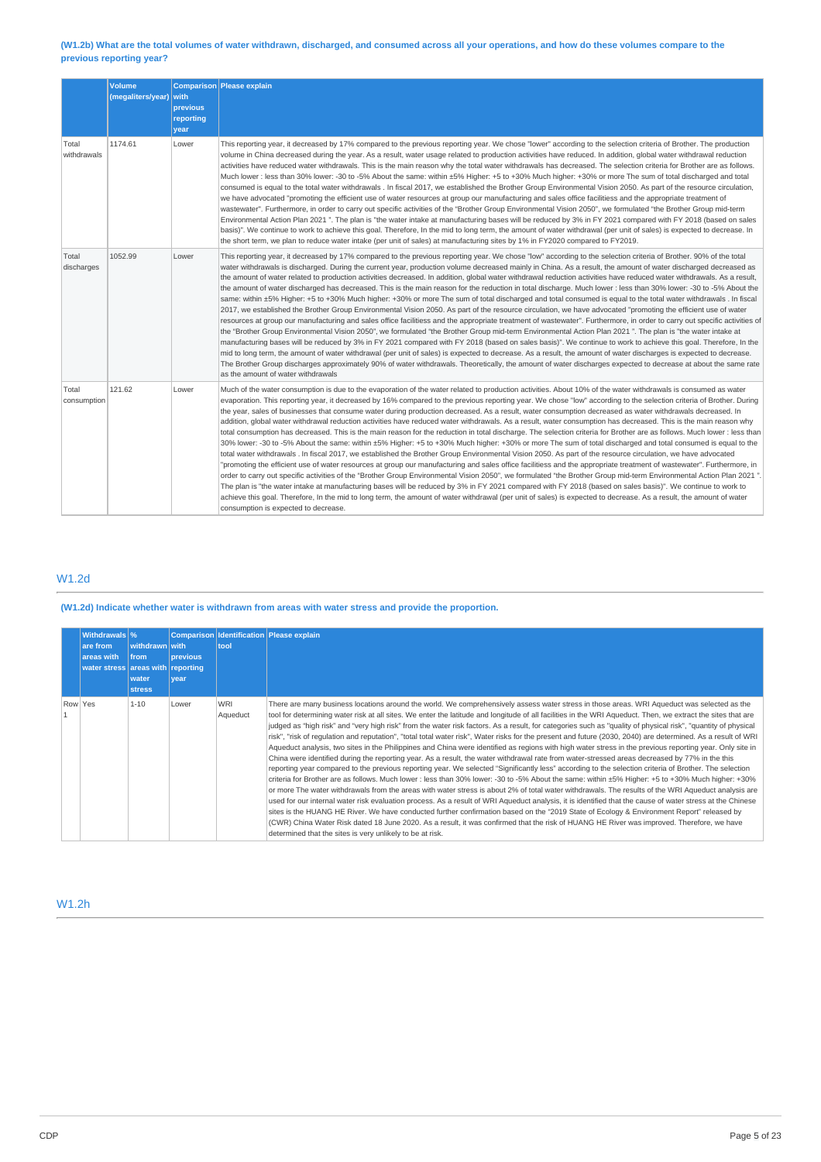### (W1.2b) What are the total volumes of water withdrawn, discharged, and consumed across all your operations, and how do these volumes compare to the **previous reporting year?**

|                      | Volume<br>(megaliters/year) with | previous<br>reporting<br>year | Comparison Please explain                                                                                                                                                                                                                                                                                                                                                                                                                                                                                                                                                                                                                                                                                                                                                                                                                                                                                                                                                                                                                                                                                                                                                                                                                                                                                                                                                                                                                                                                                                                                                                                                                                                                                                                                                                                                                                                                                            |
|----------------------|----------------------------------|-------------------------------|----------------------------------------------------------------------------------------------------------------------------------------------------------------------------------------------------------------------------------------------------------------------------------------------------------------------------------------------------------------------------------------------------------------------------------------------------------------------------------------------------------------------------------------------------------------------------------------------------------------------------------------------------------------------------------------------------------------------------------------------------------------------------------------------------------------------------------------------------------------------------------------------------------------------------------------------------------------------------------------------------------------------------------------------------------------------------------------------------------------------------------------------------------------------------------------------------------------------------------------------------------------------------------------------------------------------------------------------------------------------------------------------------------------------------------------------------------------------------------------------------------------------------------------------------------------------------------------------------------------------------------------------------------------------------------------------------------------------------------------------------------------------------------------------------------------------------------------------------------------------------------------------------------------------|
| Total<br>withdrawals | 1174.61                          | Lower                         | This reporting year, it decreased by 17% compared to the previous reporting year. We chose "lower" according to the selection criteria of Brother. The production<br>volume in China decreased during the year. As a result, water usage related to production activities have reduced. In addition, global water withdrawal reduction<br>activities have reduced water withdrawals. This is the main reason why the total water withdrawals has decreased. The selection criteria for Brother are as follows.<br>Much lower: less than 30% lower: -30 to -5% About the same: within ±5% Higher: +5 to +30% Much higher: +30% or more The sum of total discharged and total<br>consumed is equal to the total water withdrawals. In fiscal 2017, we established the Brother Group Environmental Vision 2050. As part of the resource circulation,<br>we have advocated "promoting the efficient use of water resources at group our manufacturing and sales office facilitiess and the appropriate treatment of<br>wastewater". Furthermore, in order to carry out specific activities of the "Brother Group Environmental Vision 2050", we formulated "the Brother Group mid-term<br>Environmental Action Plan 2021". The plan is "the water intake at manufacturing bases will be reduced by 3% in FY 2021 compared with FY 2018 (based on sales<br>basis)". We continue to work to achieve this goal. Therefore, In the mid to long term, the amount of water withdrawal (per unit of sales) is expected to decrease. In<br>the short term, we plan to reduce water intake (per unit of sales) at manufacturing sites by 1% in FY2020 compared to FY2019.                                                                                                                                                                                                                                                         |
| Total<br>discharges  | 1052.99                          | Lower                         | This reporting year, it decreased by 17% compared to the previous reporting year. We chose "low" according to the selection criteria of Brother. 90% of the total<br>water withdrawals is discharged. During the current year, production volume decreased mainly in China. As a result, the amount of water discharged decreased as<br>the amount of water related to production activities decreased. In addition, global water withdrawal reduction activities have reduced water withdrawals. As a result,<br>the amount of water discharged has decreased. This is the main reason for the reduction in total discharge. Much lower: less than 30% lower: -30 to -5% About the<br>same: within ±5% Higher: +5 to +30% Much higher: +30% or more The sum of total discharged and total consumed is equal to the total water withdrawals. In fiscal<br>2017, we established the Brother Group Environmental Vision 2050. As part of the resource circulation, we have advocated "promoting the efficient use of water<br>resources at group our manufacturing and sales office facilitiess and the appropriate treatment of wastewater". Furthermore, in order to carry out specific activities of<br>the "Brother Group Environmental Vision 2050", we formulated "the Brother Group mid-term Environmental Action Plan 2021". The plan is "the water intake at<br>manufacturing bases will be reduced by 3% in FY 2021 compared with FY 2018 (based on sales basis)". We continue to work to achieve this goal. Therefore, In the<br>mid to long term, the amount of water withdrawal (per unit of sales) is expected to decrease. As a result, the amount of water discharges is expected to decrease.<br>The Brother Group discharges approximately 90% of water withdrawals. Theoretically, the amount of water discharges expected to decrease at about the same rate<br>as the amount of water withdrawals |
| Total<br>consumption | 121.62                           | Lower                         | Much of the water consumption is due to the evaporation of the water related to production activities. About 10% of the water withdrawals is consumed as water<br>evaporation. This reporting year, it decreased by 16% compared to the previous reporting year. We chose "low" according to the selection criteria of Brother. During<br>the year, sales of businesses that consume water during production decreased. As a result, water consumption decreased as water withdrawals decreased. In<br>addition, global water withdrawal reduction activities have reduced water withdrawals. As a result, water consumption has decreased. This is the main reason why<br>total consumption has decreased. This is the main reason for the reduction in total discharge. The selection criteria for Brother are as follows. Much lower : less than<br>30% lower: -30 to -5% About the same: within ±5% Higher: +5 to +30% Much higher: +30% or more The sum of total discharged and total consumed is equal to the<br>total water withdrawals . In fiscal 2017, we established the Brother Group Environmental Vision 2050. As part of the resource circulation, we have advocated<br>'promoting the efficient use of water resources at group our manufacturing and sales office facilitiess and the appropriate treatment of wastewater". Furthermore, in<br>order to carry out specific activities of the "Brother Group Environmental Vision 2050", we formulated "the Brother Group mid-term Environmental Action Plan 2021".<br>The plan is "the water intake at manufacturing bases will be reduced by 3% in FY 2021 compared with FY 2018 (based on sales basis)". We continue to work to<br>achieve this goal. Therefore, In the mid to long term, the amount of water withdrawal (per unit of sales) is expected to decrease. As a result, the amount of water<br>consumption is expected to decrease.    |

# W1.2d

### **(W1.2d) Indicate whether water is withdrawn from areas with water stress and provide the proportion.**

|  | Withdrawals \%<br>are from<br>areas with<br>water stress areas with reporting | withdrawn with<br><b>from</b><br>water<br><b>stress</b> | <b>previous</b><br><i>vear</i> | tool                   | Comparison Identification Please explain                                                                                                                                                                                                                                                                                                                                                                                                                                                                                                                                                                                                                                                                                                                                                                                                                                                                                                                                                                                                                                                                                                                                                                                                                                                                                                                                                                                                                                                                                                                                                                                                                                                                                                                                                                                                                                                                                                            |
|--|-------------------------------------------------------------------------------|---------------------------------------------------------|--------------------------------|------------------------|-----------------------------------------------------------------------------------------------------------------------------------------------------------------------------------------------------------------------------------------------------------------------------------------------------------------------------------------------------------------------------------------------------------------------------------------------------------------------------------------------------------------------------------------------------------------------------------------------------------------------------------------------------------------------------------------------------------------------------------------------------------------------------------------------------------------------------------------------------------------------------------------------------------------------------------------------------------------------------------------------------------------------------------------------------------------------------------------------------------------------------------------------------------------------------------------------------------------------------------------------------------------------------------------------------------------------------------------------------------------------------------------------------------------------------------------------------------------------------------------------------------------------------------------------------------------------------------------------------------------------------------------------------------------------------------------------------------------------------------------------------------------------------------------------------------------------------------------------------------------------------------------------------------------------------------------------------|
|  | Row Yes                                                                       | $1 - 10$                                                | Lower                          | <b>WRI</b><br>Aqueduct | There are many business locations around the world. We comprehensively assess water stress in those areas. WRI Aqueduct was selected as the<br>tool for determining water risk at all sites. We enter the latitude and longitude of all facilities in the WRI Aqueduct. Then, we extract the sites that are<br>judged as "high risk" and "very high risk" from the water risk factors. As a result, for categories such as "quality of physical risk", "quantity of physical<br>risk", "risk of requlation and reputation", "total total water risk", Water risks for the present and future (2030, 2040) are determined. As a result of WRI<br>Aqueduct analysis, two sites in the Philippines and China were identified as regions with high water stress in the previous reporting year. Only site in<br>China were identified during the reporting year. As a result, the water withdrawal rate from water-stressed areas decreased by 77% in the this<br>reporting year compared to the previous reporting year. We selected "Significantly less" according to the selection criteria of Brother. The selection<br>criteria for Brother are as follows. Much lower: less than 30% lower: -30 to -5% About the same: within ±5% Higher: +5 to +30% Much higher: +30%<br>or more The water withdrawals from the areas with water stress is about 2% of total water withdrawals. The results of the WRI Aqueduct analysis are<br>used for our internal water risk evaluation process. As a result of WRI Aqueduct analysis, it is identified that the cause of water stress at the Chinese<br>sites is the HUANG HE River. We have conducted further confirmation based on the "2019 State of Ecology & Environment Report" released by<br>(CWR) China Water Risk dated 18 June 2020. As a result, it was confirmed that the risk of HUANG HE River was improved. Therefore, we have<br>determined that the sites is very unlikely to be at risk. |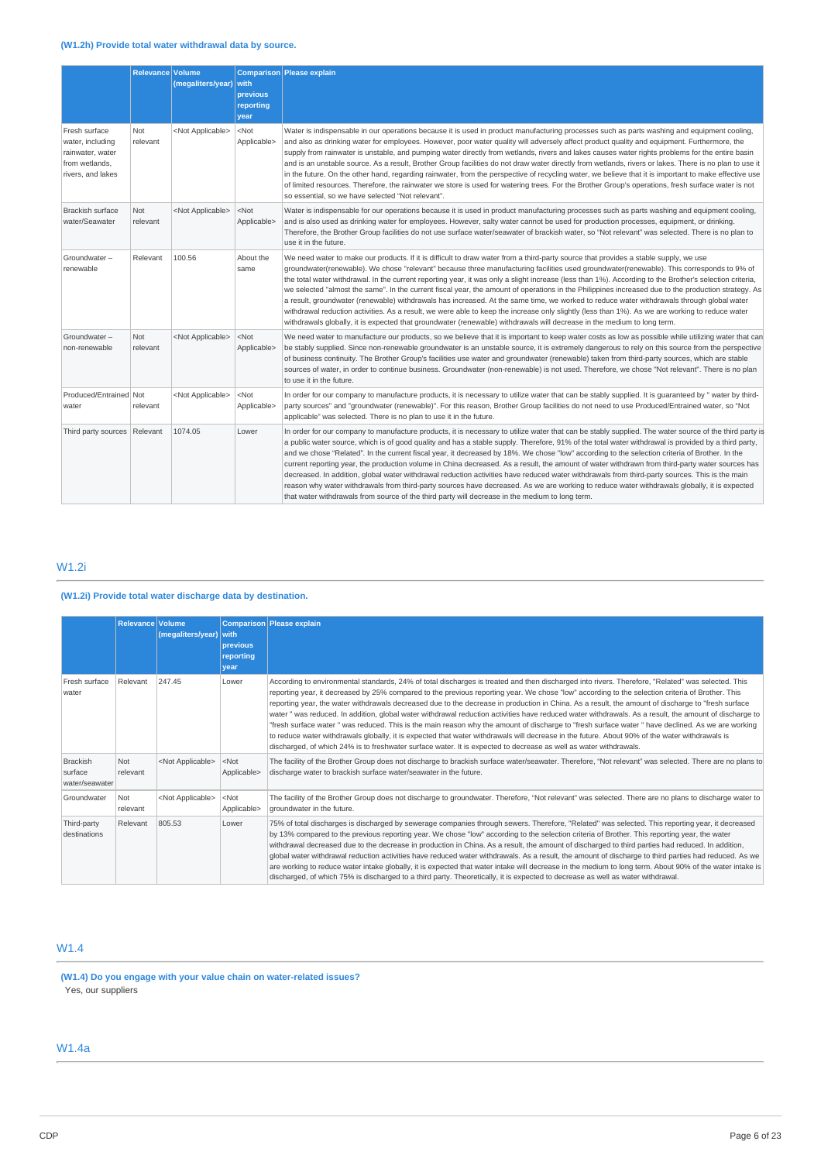|                                                                                              | Relevance Volume       | (megaliters/year)         | with<br>previous<br>reporting<br>vear | Comparison Please explain                                                                                                                                                                                                                                                                                                                                                                                                                                                                                                                                                                                                                                                                                                                                                                                                                                                                                                                                                                                                      |
|----------------------------------------------------------------------------------------------|------------------------|---------------------------|---------------------------------------|--------------------------------------------------------------------------------------------------------------------------------------------------------------------------------------------------------------------------------------------------------------------------------------------------------------------------------------------------------------------------------------------------------------------------------------------------------------------------------------------------------------------------------------------------------------------------------------------------------------------------------------------------------------------------------------------------------------------------------------------------------------------------------------------------------------------------------------------------------------------------------------------------------------------------------------------------------------------------------------------------------------------------------|
| Fresh surface<br>water, including<br>rainwater, water<br>from wetlands,<br>rivers, and lakes | Not<br>relevant        | <not applicable=""></not> | $<$ Not<br>Applicable>                | Water is indispensable in our operations because it is used in product manufacturing processes such as parts washing and equipment cooling,<br>and also as drinking water for employees. However, poor water quality will adversely affect product quality and equipment. Furthermore, the<br>supply from rainwater is unstable, and pumping water directly from wetlands, rivers and lakes causes water rights problems for the entire basin<br>and is an unstable source. As a result, Brother Group facilities do not draw water directly from wetlands, rivers or lakes. There is no plan to use it<br>in the future. On the other hand, regarding rainwater, from the perspective of recycling water, we believe that it is important to make effective use<br>of limited resources. Therefore, the rainwater we store is used for watering trees. For the Brother Group's operations, fresh surface water is not<br>so essential, so we have selected "Not relevant".                                                    |
| <b>Brackish surface</b><br>water/Seawater                                                    | <b>Not</b><br>relevant | <not applicable=""></not> | $<$ Not<br>Applicable>                | Water is indispensable for our operations because it is used in product manufacturing processes such as parts washing and equipment cooling,<br>and is also used as drinking water for employees. However, salty water cannot be used for production processes, equipment, or drinking.<br>Therefore, the Brother Group facilities do not use surface water/seawater of brackish water, so "Not relevant" was selected. There is no plan to<br>use it in the future.                                                                                                                                                                                                                                                                                                                                                                                                                                                                                                                                                           |
| Groundwater-<br>renewable                                                                    | Relevant               | 100.56                    | About the<br>same                     | We need water to make our products. If it is difficult to draw water from a third-party source that provides a stable supply, we use<br>groundwater(renewable). We chose "relevant" because three manufacturing facilities used groundwater(renewable). This corresponds to 9% of<br>the total water withdrawal. In the current reporting year, it was only a slight increase (less than 1%). According to the Brother's selection criteria,<br>we selected "almost the same". In the current fiscal year, the amount of operations in the Philippines increased due to the production strategy. As<br>a result, groundwater (renewable) withdrawals has increased. At the same time, we worked to reduce water withdrawals through global water<br>withdrawal reduction activities. As a result, we were able to keep the increase only slightly (less than 1%). As we are working to reduce water<br>withdrawals globally, it is expected that groundwater (renewable) withdrawals will decrease in the medium to long term. |
| Groundwater-<br>non-renewable                                                                | Not<br>relevant        | <not applicable=""></not> | $<$ Not<br>Applicable>                | We need water to manufacture our products, so we believe that it is important to keep water costs as low as possible while utilizing water that can<br>be stably supplied. Since non-renewable groundwater is an unstable source, it is extremely dangerous to rely on this source from the perspective<br>of business continuity. The Brother Group's facilities use water and groundwater (renewable) taken from third-party sources, which are stable<br>sources of water, in order to continue business. Groundwater (non-renewable) is not used. Therefore, we chose "Not relevant". There is no plan<br>to use it in the future.                                                                                                                                                                                                                                                                                                                                                                                         |
| Produced/Entrained Not<br>water                                                              | relevant               | <not applicable=""></not> | $<$ Not<br>Applicable>                | In order for our company to manufacture products, it is necessary to utilize water that can be stably supplied. It is guaranteed by " water by third-<br>party sources" and "groundwater (renewable)". For this reason, Brother Group facilities do not need to use Produced/Entrained water, so "Not<br>applicable" was selected. There is no plan to use it in the future.                                                                                                                                                                                                                                                                                                                                                                                                                                                                                                                                                                                                                                                   |
| Third party sources Relevant                                                                 |                        | 1074.05                   | Lower                                 | In order for our company to manufacture products, it is necessary to utilize water that can be stably supplied. The water source of the third party is<br>a public water source, which is of good quality and has a stable supply. Therefore, 91% of the total water withdrawal is provided by a third party,<br>and we chose "Related". In the current fiscal year, it decreased by 18%. We chose "low" according to the selection criteria of Brother. In the<br>current reporting year, the production volume in China decreased. As a result, the amount of water withdrawn from third-party water sources has<br>decreased. In addition, global water withdrawal reduction activities have reduced water withdrawals from third-party sources. This is the main<br>reason why water withdrawals from third-party sources have decreased. As we are working to reduce water withdrawals globally, it is expected<br>that water withdrawals from source of the third party will decrease in the medium to long term.        |

# W1.2i

# **(W1.2i) Provide total water discharge data by destination.**

|                                              | Relevance Volume | (megaliters/year)         | with<br><b>previous</b><br>reporting<br>vear | Comparison Please explain                                                                                                                                                                                                                                                                                                                                                                                                                                                                                                                                                                                                                                                                                                                                                                                                                                                                                                                                                                                                                         |
|----------------------------------------------|------------------|---------------------------|----------------------------------------------|---------------------------------------------------------------------------------------------------------------------------------------------------------------------------------------------------------------------------------------------------------------------------------------------------------------------------------------------------------------------------------------------------------------------------------------------------------------------------------------------------------------------------------------------------------------------------------------------------------------------------------------------------------------------------------------------------------------------------------------------------------------------------------------------------------------------------------------------------------------------------------------------------------------------------------------------------------------------------------------------------------------------------------------------------|
| Fresh surface<br>water                       | Relevant         | 247.45                    | Lower                                        | According to environmental standards, 24% of total discharges is treated and then discharged into rivers. Therefore, "Related" was selected. This<br>reporting year, it decreased by 25% compared to the previous reporting year. We chose "low" according to the selection criteria of Brother. This<br>reporting year, the water withdrawals decreased due to the decrease in production in China. As a result, the amount of discharge to "fresh surface<br>water "was reduced. In addition, global water withdrawal reduction activities have reduced water withdrawals. As a result, the amount of discharge to<br>"fresh surface water " was reduced. This is the main reason why the amount of discharge to "fresh surface water " have declined. As we are working<br>to reduce water withdrawals globally, it is expected that water withdrawals will decrease in the future. About 90% of the water withdrawals is<br>discharged, of which 24% is to freshwater surface water. It is expected to decrease as well as water withdrawals. |
| <b>Brackish</b><br>surface<br>water/seawater | Not<br>relevant  | <not applicable=""></not> | $<$ Not<br>Applicable>                       | The facility of the Brother Group does not discharge to brackish surface water/seawater. Therefore, "Not relevant" was selected. There are no plans to<br>discharge water to brackish surface water/seawater in the future.                                                                                                                                                                                                                                                                                                                                                                                                                                                                                                                                                                                                                                                                                                                                                                                                                       |
| Groundwater                                  | Not<br>relevant  | <not applicable=""></not> | $<$ Not<br>Applicable>                       | The facility of the Brother Group does not discharge to groundwater. Therefore, "Not relevant" was selected. There are no plans to discharge water to<br>groundwater in the future.                                                                                                                                                                                                                                                                                                                                                                                                                                                                                                                                                                                                                                                                                                                                                                                                                                                               |
| Third-party<br>destinations                  | Relevant         | 805.53                    | Lower                                        | 75% of total discharges is discharged by sewerage companies through sewers. Therefore, "Related" was selected. This reporting year, it decreased<br>by 13% compared to the previous reporting year. We chose "low" according to the selection criteria of Brother. This reporting year, the water<br>withdrawal decreased due to the decrease in production in China. As a result, the amount of discharged to third parties had reduced. In addition,<br>global water withdrawal reduction activities have reduced water withdrawals. As a result, the amount of discharge to third parties had reduced. As we<br>are working to reduce water intake globally, it is expected that water intake will decrease in the medium to long term. About 90% of the water intake is<br>discharged, of which 75% is discharged to a third party. Theoretically, it is expected to decrease as well as water withdrawal.                                                                                                                                    |

# W1.4

**(W1.4) Do you engage with your value chain on water-related issues?** Yes, our suppliers

# W1.4a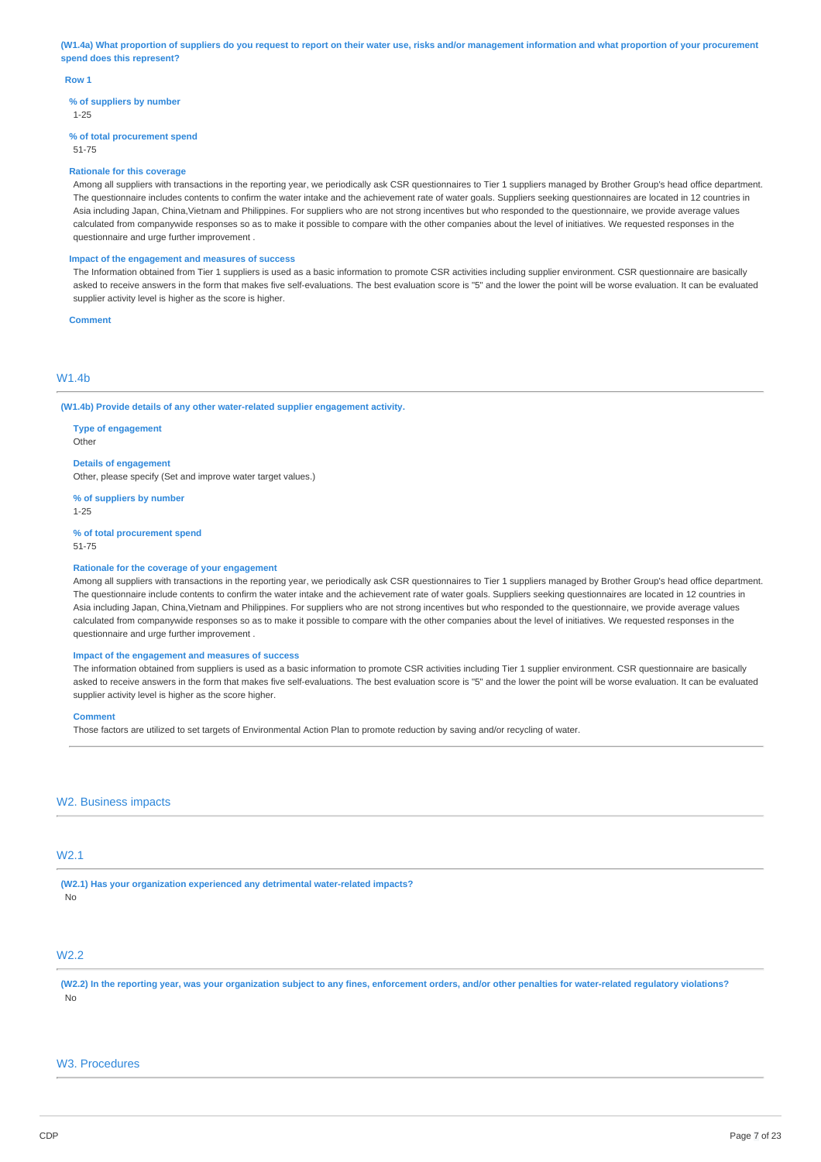(W1.4a) What proportion of suppliers do you request to report on their water use, risks and/or management information and what proportion of your procurement **spend does this represent?**

#### **Row 1**

**% of suppliers by number**

1-25

#### **% of total procurement spend**

51-75

#### **Rationale for this coverage**

Among all suppliers with transactions in the reporting year, we periodically ask CSR questionnaires to Tier 1 suppliers managed by Brother Group's head office department. The questionnaire includes contents to confirm the water intake and the achievement rate of water goals. Suppliers seeking questionnaires are located in 12 countries in Asia including Japan, China,Vietnam and Philippines. For suppliers who are not strong incentives but who responded to the questionnaire, we provide average values calculated from companywide responses so as to make it possible to compare with the other companies about the level of initiatives. We requested responses in the questionnaire and urge further improvement .

#### **Impact of the engagement and measures of success**

The Information obtained from Tier 1 suppliers is used as a basic information to promote CSR activities including supplier environment. CSR questionnaire are basically asked to receive answers in the form that makes five self-evaluations. The best evaluation score is "5" and the lower the point will be worse evaluation. It can be evaluated supplier activity level is higher as the score is higher.

**Comment**

# **W1.4b**

#### **(W1.4b) Provide details of any other water-related supplier engagement activity.**

**Type of engagement**

Other

#### **Details of engagement**

Other, please specify (Set and improve water target values.)

**% of suppliers by number**

1-25

#### **% of total procurement spend** 51-75

#### **Rationale for the coverage of your engagement**

Among all suppliers with transactions in the reporting year, we periodically ask CSR questionnaires to Tier 1 suppliers managed by Brother Group's head office department. The questionnaire include contents to confirm the water intake and the achievement rate of water goals. Suppliers seeking questionnaires are located in 12 countries in Asia including Japan, China,Vietnam and Philippines. For suppliers who are not strong incentives but who responded to the questionnaire, we provide average values calculated from companywide responses so as to make it possible to compare with the other companies about the level of initiatives. We requested responses in the questionnaire and urge further improvement .

#### **Impact of the engagement and measures of success**

The information obtained from suppliers is used as a basic information to promote CSR activities including Tier 1 supplier environment. CSR questionnaire are basically asked to receive answers in the form that makes five self-evaluations. The best evaluation score is "5" and the lower the point will be worse evaluation. It can be evaluated supplier activity level is higher as the score higher.

### **Comment**

Those factors are utilized to set targets of Environmental Action Plan to promote reduction by saving and/or recycling of water.

### W2. Business impacts

### W2.1

**(W2.1) Has your organization experienced any detrimental water-related impacts?** No

### **W<sub>2.2</sub>**

(W2.2) In the reporting year, was your organization subject to any fines, enforcement orders, and/or other penalties for water-related regulatory violations? No

### W3. Procedures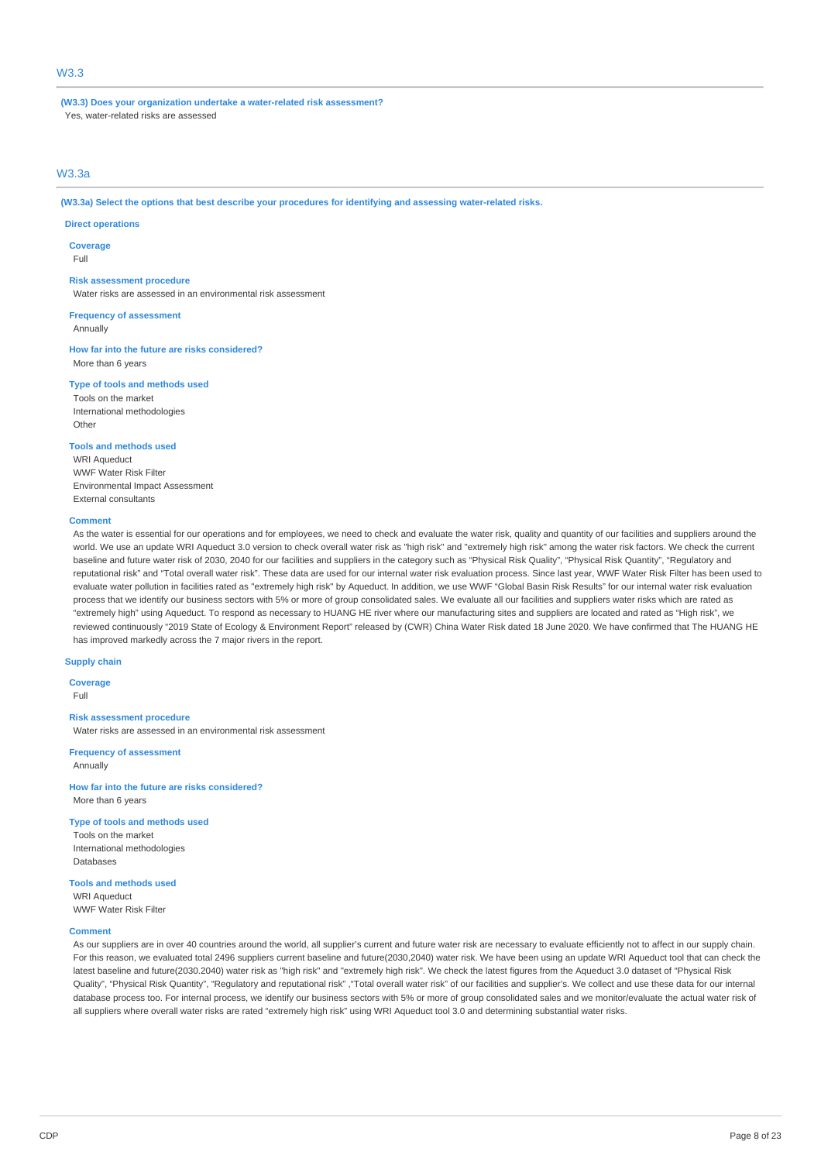## W3.3

**(W3.3) Does your organization undertake a water-related risk assessment?** Yes, water-related risks are assessed

### W3.3a

**(W3.3a) Select the options that best describe your procedures for identifying and assessing water-related risks.**

#### **Direct operations**

**Coverage** Full

#### **Risk assessment procedure**

Water risks are assessed in an environmental risk assessment

**Frequency of assessment**

Annually

**How far into the future are risks considered?** More than 6 years

**Type of tools and methods used**

Tools on the market International methodologies Other

### **Tools and methods used**

WRI Aqueduct WWF Water Risk Filter Environmental Impact Assessment External consultants

#### **Comment**

As the water is essential for our operations and for employees, we need to check and evaluate the water risk, quality and quantity of our facilities and suppliers around the world. We use an update WRI Aqueduct 3.0 version to check overall water risk as "high risk" and "extremely high risk" among the water risk factors. We check the current baseline and future water risk of 2030, 2040 for our facilities and suppliers in the category such as "Physical Risk Quality", "Physical Risk Quantity", "Regulatory and reputational risk" and "Total overall water risk". These data are used for our internal water risk evaluation process. Since last year, WWF Water Risk Filter has been used to evaluate water pollution in facilities rated as "extremely high risk" by Aqueduct. In addition, we use WWF "Global Basin Risk Results" for our internal water risk evaluation process that we identify our business sectors with 5% or more of group consolidated sales. We evaluate all our facilities and suppliers water risks which are rated as "extremely high" using Aqueduct. To respond as necessary to HUANG HE river where our manufacturing sites and suppliers are located and rated as "High risk", we reviewed continuously "2019 State of Ecology & Environment Report" released by (CWR) China Water Risk dated 18 June 2020. We have confirmed that The HUANG HE has improved markedly across the 7 major rivers in the report.

#### **Supply chain**

**Coverage** Full

#### **Risk assessment procedure**

Water risks are assessed in an environmental risk assessment

**Frequency of assessment** Annually

**How far into the future are risks considered?** More than 6 years

**Type of tools and methods used**

Tools on the market International methodologies **Databases** 

### **Tools and methods used**

WRI Aqueduct WWF Water Risk Filter

#### **Comment**

As our suppliers are in over 40 countries around the world, all supplier's current and future water risk are necessary to evaluate efficiently not to affect in our supply chain. For this reason, we evaluated total 2496 suppliers current baseline and future(2030,2040) water risk. We have been using an update WRI Aqueduct tool that can check the latest baseline and future(2030.2040) water risk as "high risk" and "extremely high risk". We check the latest figures from the Aqueduct 3.0 dataset of "Physical Risk Quality", "Physical Risk Quantity", "Regulatory and reputational risk" ,"Total overall water risk" of our facilities and supplier's. We collect and use these data for our internal database process too. For internal process, we identify our business sectors with 5% or more of group consolidated sales and we monitor/evaluate the actual water risk of all suppliers where overall water risks are rated "extremely high risk" using WRI Aqueduct tool 3.0 and determining substantial water risks.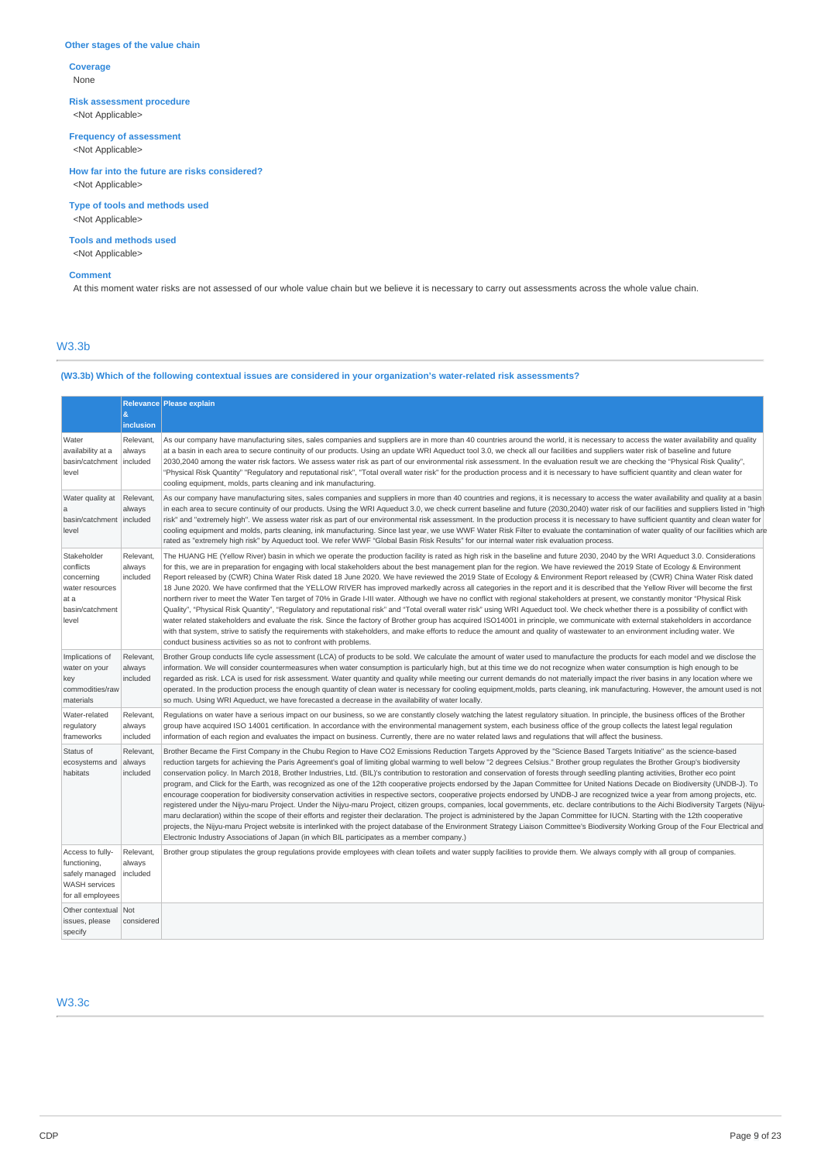### **Other stages of the value chain**

**Coverage** None

**Risk assessment procedure** <Not Applicable>

**Frequency of assessment**

<Not Applicable>

**How far into the future are risks considered?** <Not Applicable>

**Type of tools and methods used** <Not Applicable>

### **Tools and methods used** <Not Applicable>

### **Comment**

At this moment water risks are not assessed of our whole value chain but we believe it is necessary to carry out assessments across the whole value chain.

# W3.3b

### **(W3.3b) Which of the following contextual issues are considered in your organization's water-related risk assessments?**

|                                                                                               | $\boldsymbol{\alpha}$           | Relevance Please explain                                                                                                                                                                                                                                                                                                                                                                                                                                                                                                                                                                                                                                                                                                                                                                                                                                                                                                                                                                                                                                                                                                                                                                                                                                                                                                                                                                                                                                                                                                                                                                                 |
|-----------------------------------------------------------------------------------------------|---------------------------------|----------------------------------------------------------------------------------------------------------------------------------------------------------------------------------------------------------------------------------------------------------------------------------------------------------------------------------------------------------------------------------------------------------------------------------------------------------------------------------------------------------------------------------------------------------------------------------------------------------------------------------------------------------------------------------------------------------------------------------------------------------------------------------------------------------------------------------------------------------------------------------------------------------------------------------------------------------------------------------------------------------------------------------------------------------------------------------------------------------------------------------------------------------------------------------------------------------------------------------------------------------------------------------------------------------------------------------------------------------------------------------------------------------------------------------------------------------------------------------------------------------------------------------------------------------------------------------------------------------|
|                                                                                               | inclusion                       |                                                                                                                                                                                                                                                                                                                                                                                                                                                                                                                                                                                                                                                                                                                                                                                                                                                                                                                                                                                                                                                                                                                                                                                                                                                                                                                                                                                                                                                                                                                                                                                                          |
| Water<br>availability at a<br>basin/catchment<br>level                                        | Relevant,<br>always<br>included | As our company have manufacturing sites, sales companies and suppliers are in more than 40 countries around the world, it is necessary to access the water availability and quality<br>at a basin in each area to secure continuity of our products. Using an update WRI Aqueduct tool 3.0, we check all our facilities and suppliers water risk of baseline and future<br>2030,2040 among the water risk factors. We assess water risk as part of our environmental risk assessment. In the evaluation result we are checking the "Physical Risk Quality",<br>"Physical Risk Quantity" "Regulatory and reputational risk", "Total overall water risk" for the production process and it is necessary to have sufficient quantity and clean water for<br>cooling equipment, molds, parts cleaning and ink manufacturing.                                                                                                                                                                                                                                                                                                                                                                                                                                                                                                                                                                                                                                                                                                                                                                                 |
| Water quality at<br>a<br>basin/catchment   included<br>level                                  | Relevant,<br>always             | As our company have manufacturing sites, sales companies and suppliers in more than 40 countries and regions, it is necessary to access the water availability and quality at a basin<br>in each area to secure continuity of our products. Using the WRI Aqueduct 3.0, we check current baseline and future (2030,2040) water risk of our facilities and suppliers listed in "high<br>risk" and "extremely high". We assess water risk as part of our environmental risk assessment. In the production process it is necessary to have sufficient quantity and clean water for<br>cooling equipment and molds, parts cleaning, ink manufacturing. Since last year, we use WWF Water Risk Filter to evaluate the contamination of water quality of our facilities which are<br>rated as "extremely high risk" by Aqueduct tool. We refer WWF "Global Basin Risk Results" for our internal water risk evaluation process.                                                                                                                                                                                                                                                                                                                                                                                                                                                                                                                                                                                                                                                                                 |
| Stakeholder<br>conflicts<br>concerning<br>water resources<br>at a<br>basin/catchment<br>level | Relevant,<br>always<br>included | The HUANG HE (Yellow River) basin in which we operate the production facility is rated as high risk in the baseline and future 2030, 2040 by the WRI Aqueduct 3.0. Considerations<br>for this, we are in preparation for engaging with local stakeholders about the best management plan for the region. We have reviewed the 2019 State of Ecology & Environment<br>Report released by (CWR) China Water Risk dated 18 June 2020. We have reviewed the 2019 State of Ecology & Environment Report released by (CWR) China Water Risk dated<br>18 June 2020. We have confirmed that the YELLOW RIVER has improved markedly across all categories in the report and it is described that the Yellow River will become the first<br>northern river to meet the Water Ten target of 70% in Grade I-III water. Although we have no conflict with regional stakeholders at present, we constantly monitor "Physical Risk<br>Quality", "Physical Risk Quantity", "Regulatory and reputational risk" and "Total overall water risk" using WRI Aqueduct tool. We check whether there is a possibility of conflict with<br>water related stakeholders and evaluate the risk. Since the factory of Brother group has acquired ISO14001 in principle, we communicate with external stakeholders in accordance<br>with that system, strive to satisfy the requirements with stakeholders, and make efforts to reduce the amount and quality of wastewater to an environment including water. We<br>conduct business activities so as not to confront with problems.                                                  |
| Implications of<br>water on your<br>key<br>commodities/raw<br>materials                       | Relevant,<br>always<br>included | Brother Group conducts life cycle assessment (LCA) of products to be sold. We calculate the amount of water used to manufacture the products for each model and we disclose the<br>information. We will consider countermeasures when water consumption is particularly high, but at this time we do not recognize when water consumption is high enough to be<br>regarded as risk. LCA is used for risk assessment. Water quantity and quality while meeting our current demands do not materially impact the river basins in any location where we<br>operated. In the production process the enough quantity of clean water is necessary for cooling equipment, molds, parts cleaning, ink manufacturing. However, the amount used is not<br>so much. Using WRI Aqueduct, we have forecasted a decrease in the availability of water locally.                                                                                                                                                                                                                                                                                                                                                                                                                                                                                                                                                                                                                                                                                                                                                         |
| Water-related<br>regulatory<br>frameworks                                                     | Relevant,<br>always<br>included | Regulations on water have a serious impact on our business, so we are constantly closely watching the latest regulatory situation. In principle, the business offices of the Brother<br>group have acquired ISO 14001 certification. In accordance with the environmental management system, each business office of the group collects the latest legal regulation<br>information of each region and evaluates the impact on business. Currently, there are no water related laws and regulations that will affect the business.                                                                                                                                                                                                                                                                                                                                                                                                                                                                                                                                                                                                                                                                                                                                                                                                                                                                                                                                                                                                                                                                        |
| Status of<br>ecosystems and<br>habitats                                                       | Relevant.<br>always<br>included | Brother Became the First Company in the Chubu Region to Have CO2 Emissions Reduction Targets Approved by the "Science Based Targets Initiative" as the science-based<br>reduction targets for achieving the Paris Agreement's goal of limiting global warming to well below "2 degrees Celsius." Brother group regulates the Brother Group's biodiversity<br>conservation policy. In March 2018, Brother Industries, Ltd. (BIL)'s contribution to restoration and conservation of forests through seedling planting activities, Brother eco point<br>program, and Click for the Earth, was recognized as one of the 12th cooperative projects endorsed by the Japan Committee for United Nations Decade on Biodiversity (UNDB-J). To<br>encourage cooperation for biodiversity conservation activities in respective sectors, cooperative projects endorsed by UNDB-J are recognized twice a year from among projects, etc.<br>registered under the Nijyu-maru Project. Under the Nijyu-maru Project, citizen groups, companies, local governments, etc. declare contributions to the Aichi Biodiversity Targets (Nijyu-<br>maru declaration) within the scope of their efforts and register their declaration. The project is administered by the Japan Committee for IUCN. Starting with the 12th cooperative<br>projects, the Nijyu-maru Project website is interlinked with the project database of the Environment Strategy Liaison Committee's Biodiversity Working Group of the Four Electrical and<br>Electronic Industry Associations of Japan (in which BIL participates as a member company.) |
| Access to fully-<br>functioning,<br>safely managed<br>WASH services<br>for all employees      | Relevant,<br>always<br>included | Brother group stipulates the group regulations provide employees with clean toilets and water supply facilities to provide them. We always comply with all group of companies.                                                                                                                                                                                                                                                                                                                                                                                                                                                                                                                                                                                                                                                                                                                                                                                                                                                                                                                                                                                                                                                                                                                                                                                                                                                                                                                                                                                                                           |
| Other contextual<br>issues, please<br>specify                                                 | Not<br>considered               |                                                                                                                                                                                                                                                                                                                                                                                                                                                                                                                                                                                                                                                                                                                                                                                                                                                                                                                                                                                                                                                                                                                                                                                                                                                                                                                                                                                                                                                                                                                                                                                                          |

# W3.3c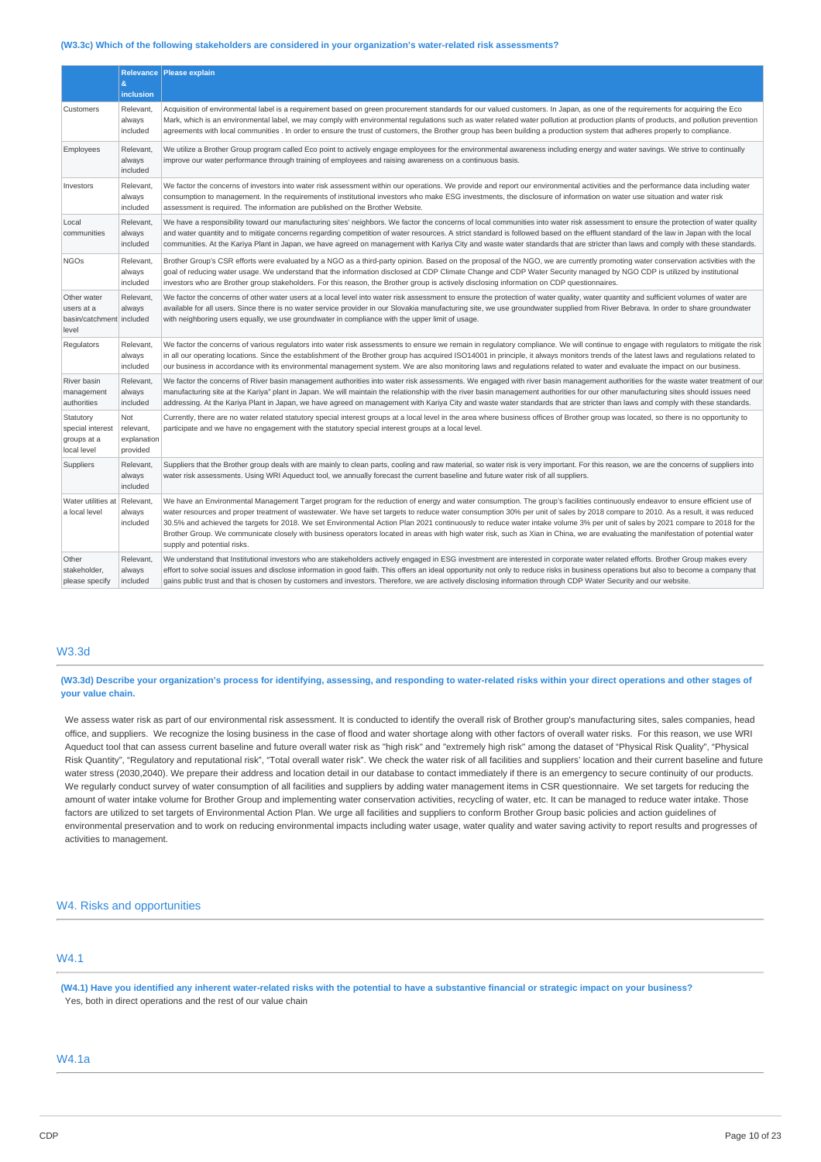#### **(W3.3c) Which of the following stakeholders are considered in your organization's water-related risk assessments?**

|                                                                | &                                                  | Relevance   Please explain                                                                                                                                                                                                                                                                                                                                                                                                                                                                                                                                                                                                                                                                                                                                             |
|----------------------------------------------------------------|----------------------------------------------------|------------------------------------------------------------------------------------------------------------------------------------------------------------------------------------------------------------------------------------------------------------------------------------------------------------------------------------------------------------------------------------------------------------------------------------------------------------------------------------------------------------------------------------------------------------------------------------------------------------------------------------------------------------------------------------------------------------------------------------------------------------------------|
|                                                                | inclusion                                          |                                                                                                                                                                                                                                                                                                                                                                                                                                                                                                                                                                                                                                                                                                                                                                        |
| Customers                                                      | Relevant,<br>always<br>included                    | Acquisition of environmental label is a requirement based on green procurement standards for our valued customers. In Japan, as one of the requirements for acquiring the Eco<br>Mark, which is an environmental label, we may comply with environmental regulations such as water related water pollution at production plants of products, and pollution prevention<br>agreements with local communities. In order to ensure the trust of customers, the Brother group has been building a production system that adheres properly to compliance.                                                                                                                                                                                                                    |
| Employees                                                      | Relevant,<br>always<br>included                    | We utilize a Brother Group program called Eco point to actively engage employees for the environmental awareness including energy and water savings. We strive to continually<br>improve our water performance through training of employees and raising awareness on a continuous basis.                                                                                                                                                                                                                                                                                                                                                                                                                                                                              |
| Investors                                                      | Relevant.<br>always<br>included                    | We factor the concerns of investors into water risk assessment within our operations. We provide and report our environmental activities and the performance data including water<br>consumption to management. In the requirements of institutional investors who make ESG investments, the disclosure of information on water use situation and water risk<br>assessment is required. The information are published on the Brother Website.                                                                                                                                                                                                                                                                                                                          |
| Local<br>communities                                           | Relevant,<br>always<br>included                    | We have a responsibility toward our manufacturing sites' neighbors. We factor the concerns of local communities into water risk assessment to ensure the protection of water quality<br>and water quantity and to mitigate concerns regarding competition of water resources. A strict standard is followed based on the effluent standard of the law in Japan with the local<br>communities. At the Kariya Plant in Japan, we have agreed on management with Kariya City and waste water standards that are stricter than laws and comply with these standards.                                                                                                                                                                                                       |
| <b>NGOs</b>                                                    | Relevant,<br>always<br>included                    | Brother Group's CSR efforts were evaluated by a NGO as a third-party opinion. Based on the proposal of the NGO, we are currently promoting water conservation activities with the<br>goal of reducing water usage. We understand that the information disclosed at CDP Climate Change and CDP Water Security managed by NGO CDP is utilized by institutional<br>investors who are Brother group stakeholders. For this reason, the Brother group is actively disclosing information on CDP questionnaires.                                                                                                                                                                                                                                                             |
| Other water<br>users at a<br>basin/catchment included<br>level | Relevant,<br>always                                | We factor the concerns of other water users at a local level into water risk assessment to ensure the protection of water quality, water quantity and sufficient volumes of water are<br>available for all users. Since there is no water service provider in our Slovakia manufacturing site, we use groundwater supplied from River Bebrava. In order to share groundwater<br>with neighboring users equally, we use groundwater in compliance with the upper limit of usage.                                                                                                                                                                                                                                                                                        |
| Regulators                                                     | Relevant,<br>always<br>included                    | We factor the concerns of various regulators into water risk assessments to ensure we remain in regulatory compliance. We will continue to engage with regulators to mitigate the risk<br>in all our operating locations. Since the establishment of the Brother group has acquired ISO14001 in principle, it always monitors trends of the latest laws and regulations related to<br>our business in accordance with its environmental management system. We are also monitoring laws and regulations related to water and evaluate the impact on our business.                                                                                                                                                                                                       |
| River basin<br>management<br>authorities                       | Relevant,<br>always<br>included                    | We factor the concerns of River basin management authorities into water risk assessments. We engaged with river basin management authorities for the waste water treatment of our<br>manufacturing site at the Kariya" plant in Japan. We will maintain the relationship with the river basin management authorities for our other manufacturing sites should issues need<br>addressing. At the Kariya Plant in Japan, we have agreed on management with Kariya City and waste water standards that are stricter than laws and comply with these standards.                                                                                                                                                                                                            |
| Statutory<br>special interest<br>groups at a<br>local level    | <b>Not</b><br>relevant,<br>explanation<br>provided | Currently, there are no water related statutory special interest groups at a local level in the area where business offices of Brother group was located, so there is no opportunity to<br>participate and we have no engagement with the statutory special interest groups at a local level.                                                                                                                                                                                                                                                                                                                                                                                                                                                                          |
| Suppliers                                                      | Relevant,<br>always<br>included                    | Suppliers that the Brother group deals with are mainly to clean parts, cooling and raw material, so water risk is very important. For this reason, we are the concerns of suppliers into<br>water risk assessments. Using WRI Aqueduct tool, we annually forecast the current baseline and future water risk of all suppliers.                                                                                                                                                                                                                                                                                                                                                                                                                                         |
| Water utilities at<br>a local level                            | Relevant,<br>always<br>included                    | We have an Environmental Management Target program for the reduction of energy and water consumption. The group's facilities continuously endeavor to ensure efficient use of<br>water resources and proper treatment of wastewater. We have set targets to reduce water consumption 30% per unit of sales by 2018 compare to 2010. As a result, it was reduced<br>30.5% and achieved the targets for 2018. We set Environmental Action Plan 2021 continuously to reduce water intake volume 3% per unit of sales by 2021 compare to 2018 for the<br>Brother Group. We communicate closely with business operators located in areas with high water risk, such as Xian in China, we are evaluating the manifestation of potential water<br>supply and potential risks. |
| Other<br>stakeholder,<br>please specify                        | Relevant,<br>always<br>included                    | We understand that Institutional investors who are stakeholders actively engaged in ESG investment are interested in corporate water related efforts. Brother Group makes every<br>effort to solve social issues and disclose information in good faith. This offers an ideal opportunity not only to reduce risks in business operations but also to become a company that<br>gains public trust and that is chosen by customers and investors. Therefore, we are actively disclosing information through CDP Water Security and our website.                                                                                                                                                                                                                         |

### W3.3d

(W3.3d) Describe your organization's process for identifying, assessing, and responding to water-related risks within your direct operations and other stages of **your value chain.**

We assess water risk as part of our environmental risk assessment. It is conducted to identify the overall risk of Brother group's manufacturing sites, sales companies, head office, and suppliers. We recognize the losing business in the case of flood and water shortage along with other factors of overall water risks. For this reason, we use WRI Aqueduct tool that can assess current baseline and future overall water risk as "high risk" and "extremely high risk" among the dataset of "Physical Risk Quality", "Physical Risk Quantity", "Regulatory and reputational risk", "Total overall water risk". We check the water risk of all facilities and suppliers' location and their current baseline and future water stress (2030,2040). We prepare their address and location detail in our database to contact immediately if there is an emergency to secure continuity of our products. We regularly conduct survey of water consumption of all facilities and suppliers by adding water management items in CSR questionnaire. We set targets for reducing the amount of water intake volume for Brother Group and implementing water conservation activities, recycling of water, etc. It can be managed to reduce water intake. Those factors are utilized to set targets of Environmental Action Plan. We urge all facilities and suppliers to conform Brother Group basic policies and action guidelines of environmental preservation and to work on reducing environmental impacts including water usage, water quality and water saying activity to report results and progresses of activities to management.

### W4. Risks and opportunities

# W4.1

(W4.1) Have you identified any inherent water-related risks with the potential to have a substantive financial or strategic impact on your business? Yes, both in direct operations and the rest of our value chain

### W4.1a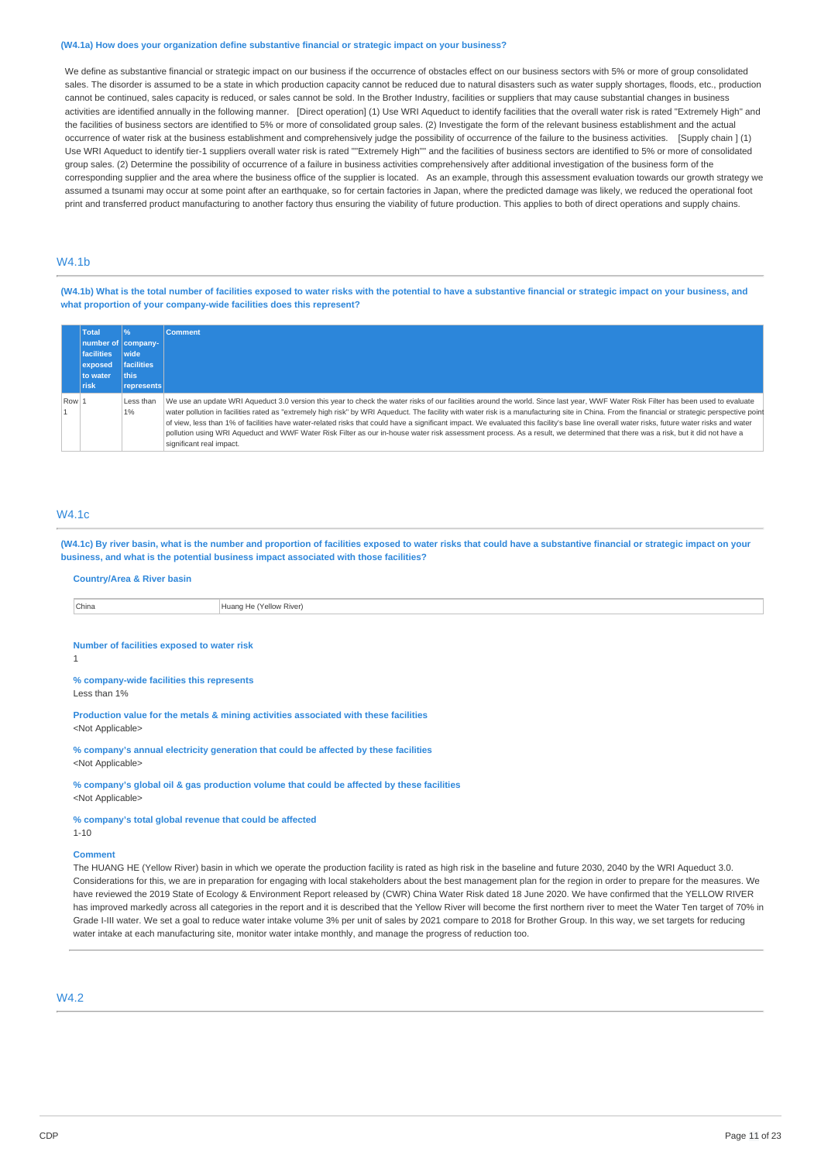#### **(W4.1a) How does your organization define substantive financial or strategic impact on your business?**

We define as substantive financial or strategic impact on our business if the occurrence of obstacles effect on our business sectors with 5% or more of group consolidated sales. The disorder is assumed to be a state in which production capacity cannot be reduced due to natural disasters such as water supply shortages, floods, etc., production cannot be continued, sales capacity is reduced, or sales cannot be sold. In the Brother Industry, facilities or suppliers that may cause substantial changes in business activities are identified annually in the following manner. [Direct operation] (1) Use WRI Aqueduct to identify facilities that the overall water risk is rated "Extremely High" and the facilities of business sectors are identified to 5% or more of consolidated group sales. (2) Investigate the form of the relevant business establishment and the actual occurrence of water risk at the business establishment and comprehensively judge the possibility of occurrence of the failure to the business activities. [Supply chain ] (1) Use WRI Aqueduct to identify tier-1 suppliers overall water risk is rated ""Extremely High"" and the facilities of business sectors are identified to 5% or more of consolidated group sales. (2) Determine the possibility of occurrence of a failure in business activities comprehensively after additional investigation of the business form of the corresponding supplier and the area where the business office of the supplier is located. As an example, through this assessment evaluation towards our growth strategy we assumed a tsunami may occur at some point after an earthquake, so for certain factories in Japan, where the predicted damage was likely, we reduced the operational foot print and transferred product manufacturing to another factory thus ensuring the viability of future production. This applies to both of direct operations and supply chains.

### **M/4.1b**

(W4.1b) What is the total number of facilities exposed to water risks with the potential to have a substantive financial or strategic impact on your business, and **what proportion of your company-wide facilities does this represent?**

|       | Total              | 96                | <b>Comment</b>                                                                                                                                                                                 |
|-------|--------------------|-------------------|------------------------------------------------------------------------------------------------------------------------------------------------------------------------------------------------|
|       | number of company- |                   |                                                                                                                                                                                                |
|       | <b>facilities</b>  | wide              |                                                                                                                                                                                                |
|       | exposed            | <b>facilities</b> |                                                                                                                                                                                                |
|       | to water           | this              |                                                                                                                                                                                                |
|       | <b>Trisk</b>       | represents        |                                                                                                                                                                                                |
| Row 1 |                    | Less than         | We use an update WRI Aqueduct 3.0 version this year to check the water risks of our facilities around the world. Since last year, WWF Water Risk Filter has been used to evaluate              |
|       |                    | 1%                | water pollution in facilities rated as "extremely high risk" by WRI Aqueduct. The facility with water risk is a manufacturing site in China. From the financial or strategic perspective point |
|       |                    |                   | of view, less than 1% of facilities have water-related risks that could have a significant impact. We evaluated this facility's base line overall water risks, future water risks and water    |
|       |                    |                   | pollution using WRI Aqueduct and WWF Water Risk Filter as our in-house water risk assessment process. As a result, we determined that there was a risk, but it did not have a                  |
|       |                    |                   | significant real impact.                                                                                                                                                                       |

### W4.1c

(W4.1c) By river basin, what is the number and proportion of facilities exposed to water risks that could have a substantive financial or strategic impact on your **business, and what is the potential business impact associated with those facilities?**

#### **Country/Area & River basin**

China **Huang He (Yellow River)** 

### **Number of facilities exposed to water risk**

1

**% company-wide facilities this represents** Less than 1%

**Production value for the metals & mining activities associated with these facilities** <Not Applicable>

**% company's annual electricity generation that could be affected by these facilities** <Not Applicable>

**% company's global oil & gas production volume that could be affected by these facilities** <Not Applicable>

### **% company's total global revenue that could be affected**

1-10

### **Comment**

The HUANG HE (Yellow River) basin in which we operate the production facility is rated as high risk in the baseline and future 2030, 2040 by the WRI Aqueduct 3.0. Considerations for this, we are in preparation for engaging with local stakeholders about the best management plan for the region in order to prepare for the measures. We have reviewed the 2019 State of Ecology & Environment Report released by (CWR) China Water Risk dated 18 June 2020. We have confirmed that the YELLOW RIVER has improved markedly across all categories in the report and it is described that the Yellow River will become the first northern river to meet the Water Ten target of 70% in Grade I-III water. We set a goal to reduce water intake volume 3% per unit of sales by 2021 compare to 2018 for Brother Group. In this way, we set targets for reducing water intake at each manufacturing site, monitor water intake monthly, and manage the progress of reduction too.

 $MA<sub>2</sub>$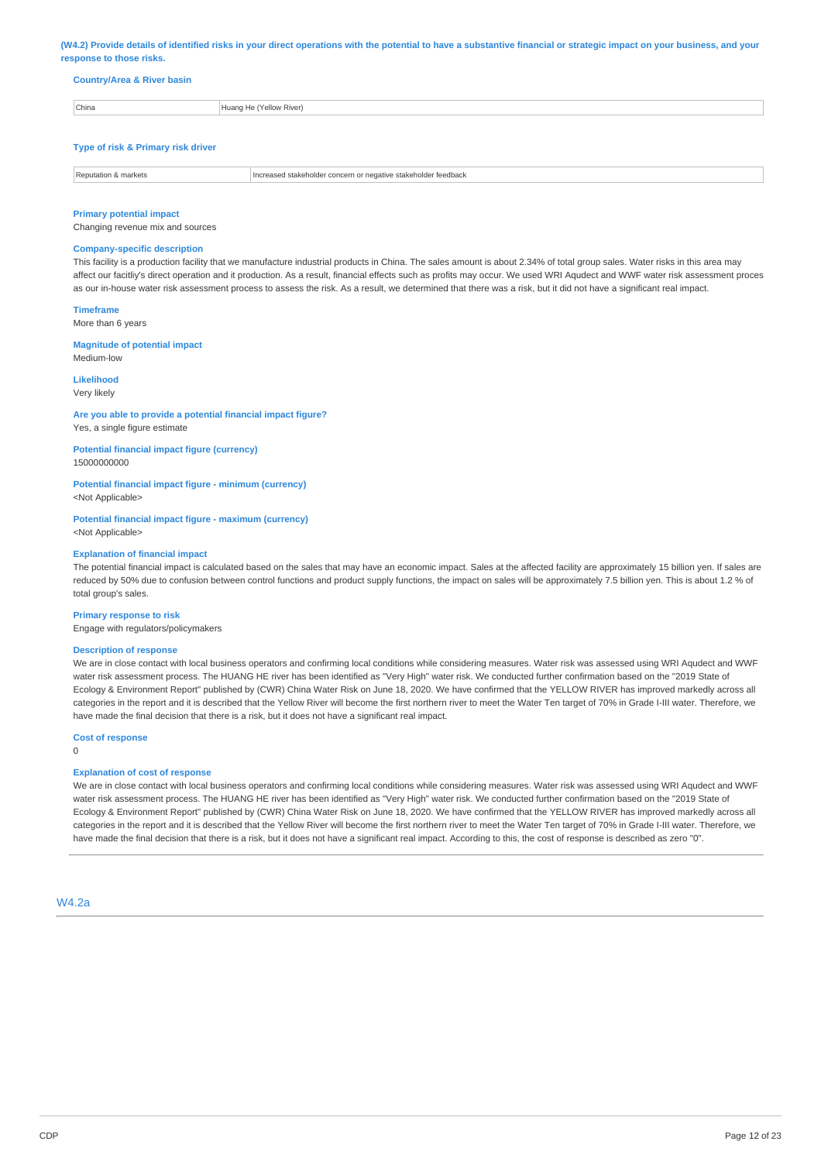(W4.2) Provide details of identified risks in your direct operations with the potential to have a substantive financial or strategic impact on your business, and your **response to those risks.**

### **Country/Area & River basin**

| China | 'Yellow River)<br><b>Huang</b> |
|-------|--------------------------------|

### **Type of risk & Primary risk driver**

| Pol<br>markets | . stakeholder<br><b>Teedback</b><br>stakenoide<br>ne e<br>anve |
|----------------|----------------------------------------------------------------|
|                |                                                                |

### **Primary potential impact**

Changing revenue mix and sources

### **Company-specific description**

This facility is a production facility that we manufacture industrial products in China. The sales amount is about 2.34% of total group sales. Water risks in this area may affect our facitliy's direct operation and it production. As a result, financial effects such as profits may occur. We used WRI Aqudect and WWF water risk assessment proces as our in-house water risk assessment process to assess the risk. As a result, we determined that there was a risk, but it did not have a significant real impact.

### **Timeframe**

More than 6 years

#### **Magnitude of potential impact** Medium-low

# **Likelihood**

Very likely

# **Are you able to provide a potential financial impact figure?**

Yes, a single figure estimate

### **Potential financial impact figure (currency)** 15000000000

**Potential financial impact figure - minimum (currency)**

<Not Applicable>

**Potential financial impact figure - maximum (currency)** <Not Applicable>

### **Explanation of financial impact**

The potential financial impact is calculated based on the sales that may have an economic impact. Sales at the affected facility are approximately 15 billion yen. If sales are reduced by 50% due to confusion between control functions and product supply functions, the impact on sales will be approximately 7.5 billion yen. This is about 1.2 % of total group's sales.

#### **Primary response to risk**

Engage with regulators/policymakers

### **Description of response**

We are in close contact with local business operators and confirming local conditions while considering measures. Water risk was assessed using WRI Aqudect and WWF water risk assessment process. The HUANG HE river has been identified as "Very High" water risk. We conducted further confirmation based on the "2019 State of Ecology & Environment Report" published by (CWR) China Water Risk on June 18, 2020. We have confirmed that the YELLOW RIVER has improved markedly across all categories in the report and it is described that the Yellow River will become the first northern river to meet the Water Ten target of 70% in Grade I-III water. Therefore, we have made the final decision that there is a risk, but it does not have a significant real impact.

### **Cost of response**

0

### **Explanation of cost of response**

We are in close contact with local business operators and confirming local conditions while considering measures. Water risk was assessed using WRI Aqudect and WWF water risk assessment process. The HUANG HE river has been identified as "Very High" water risk. We conducted further confirmation based on the "2019 State of Ecology & Environment Report" published by (CWR) China Water Risk on June 18, 2020. We have confirmed that the YELLOW RIVER has improved markedly across all categories in the report and it is described that the Yellow River will become the first northern river to meet the Water Ten target of 70% in Grade I-III water. Therefore, we have made the final decision that there is a risk, but it does not have a significant real impact. According to this, the cost of response is described as zero "0".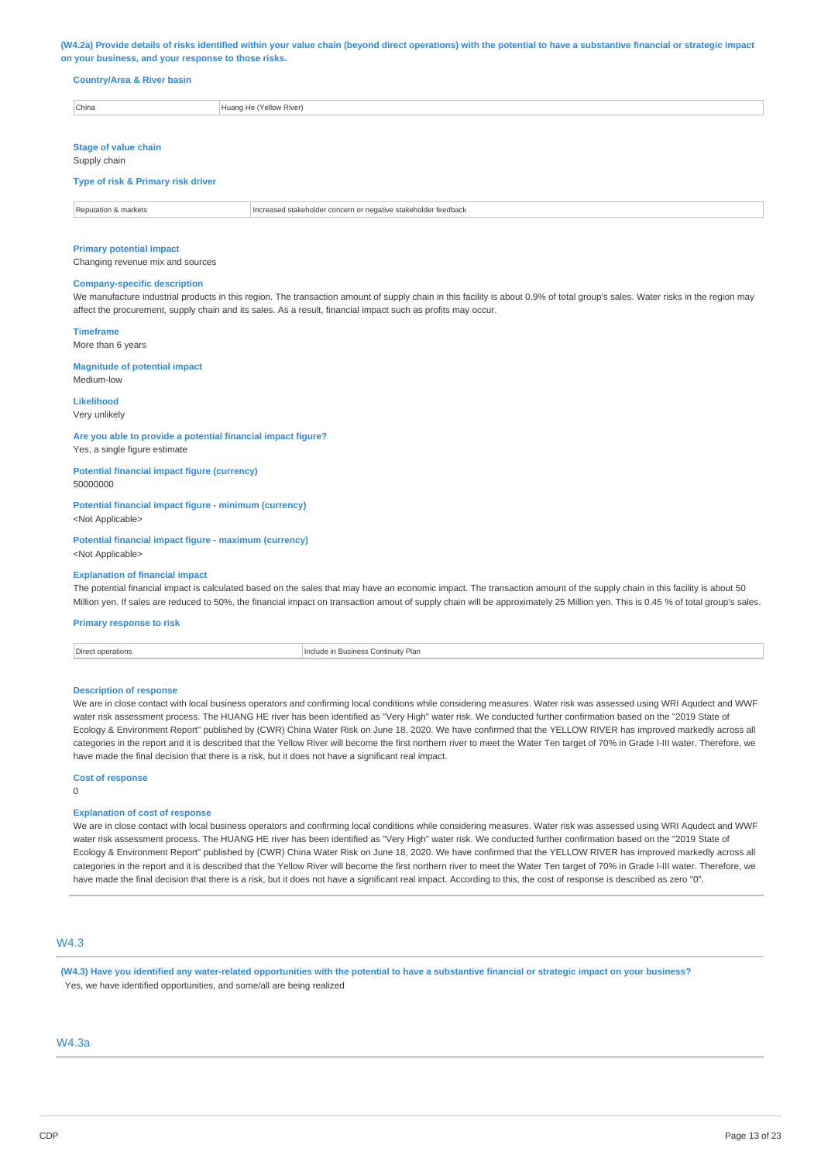#### (W4.2a) Provide details of risks identified within your value chain (beyond direct operations) with the potential to have a substantive financial or strategic impact **on your business, and your response to those risks.**

### **Country/Area & River basin**

| China | $-1$<br>Yellow River<br>Huang |
|-------|-------------------------------|

# **Stage of value chain**

Supply chain

### **Type of risk & Primary risk driver**

Reputation & markets Increased stakeholder concern or negative stakeholder feedback

#### **Primary potential impact**

Changing revenue mix and sources

### **Company-specific description**

We manufacture industrial products in this region. The transaction amount of supply chain in this facility is about 0.9% of total group's sales. Water risks in the region may affect the procurement, supply chain and its sales. As a result, financial impact such as profits may occur.

#### **Timeframe**

More than 6 years

#### **Magnitude of potential impact** Medium-low

### **Likelihood**

Very unlikely

#### **Are you able to provide a potential financial impact figure?** Yes, a single figure estimate

**Potential financial impact figure (currency)**

50000000

# **Potential financial impact figure - minimum (currency)**

<Not Applicable>

### **Potential financial impact figure - maximum (currency)** <Not Applicable>

#### **Explanation of financial impact**

The potential financial impact is calculated based on the sales that may have an economic impact. The transaction amount of the supply chain in this facility is about 50 Million yen. If sales are reduced to 50%, the financial impact on transaction amout of supply chain will be approximately 25 Million yen. This is 0.45 % of total group's sales.

### **Primary response to risk**

| Direct<br>: operations | <b>Business</b><br>Continuity Plan |
|------------------------|------------------------------------|
| .                      |                                    |

#### **Description of response**

We are in close contact with local business operators and confirming local conditions while considering measures. Water risk was assessed using WRI Aqudect and WWF water risk assessment process. The HUANG HE river has been identified as "Very High" water risk. We conducted further confirmation based on the "2019 State of Ecology & Environment Report" published by (CWR) China Water Risk on June 18, 2020. We have confirmed that the YELLOW RIVER has improved markedly across all categories in the report and it is described that the Yellow River will become the first northern river to meet the Water Ten target of 70% in Grade I-III water. Therefore, we have made the final decision that there is a risk, but it does not have a significant real impact.

**Cost of response**

### $\Omega$

#### **Explanation of cost of response**

We are in close contact with local business operators and confirming local conditions while considering measures. Water risk was assessed using WRI Aqudect and WWF water risk assessment process. The HUANG HE river has been identified as "Very High" water risk. We conducted further confirmation based on the "2019 State of Ecology & Environment Report" published by (CWR) China Water Risk on June 18, 2020. We have confirmed that the YELLOW RIVER has improved markedly across all categories in the report and it is described that the Yellow River will become the first northern river to meet the Water Ten target of 70% in Grade I-III water. Therefore, we have made the final decision that there is a risk, but it does not have a significant real impact. According to this, the cost of response is described as zero "0".

# W4.3

(W4.3) Have you identified any water-related opportunities with the potential to have a substantive financial or strategic impact on your business? Yes, we have identified opportunities, and some/all are being realized

### W4.3a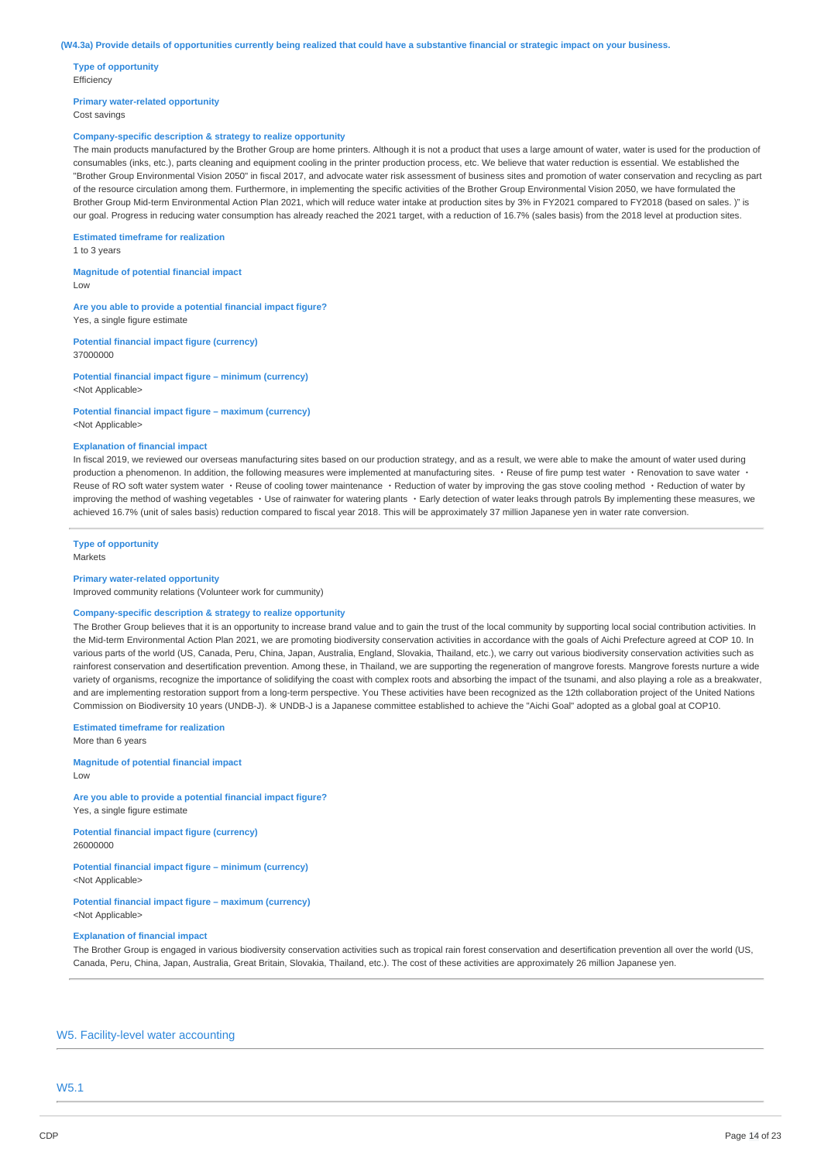**Type of opportunity** Efficiency

**Primary water-related opportunity** Cost savings

### **Company-specific description & strategy to realize opportunity**

The main products manufactured by the Brother Group are home printers. Although it is not a product that uses a large amount of water, water is used for the production of consumables (inks, etc.), parts cleaning and equipment cooling in the printer production process, etc. We believe that water reduction is essential. We established the "Brother Group Environmental Vision 2050" in fiscal 2017, and advocate water risk assessment of business sites and promotion of water conservation and recycling as part of the resource circulation among them. Furthermore, in implementing the specific activities of the Brother Group Environmental Vision 2050, we have formulated the Brother Group Mid-term Environmental Action Plan 2021, which will reduce water intake at production sites by 3% in FY2021 compared to FY2018 (based on sales.)" is our goal. Progress in reducing water consumption has already reached the 2021 target, with a reduction of 16.7% (sales basis) from the 2018 level at production sites.

#### **Estimated timeframe for realization**

1 to 3 years

**Magnitude of potential financial impact** Low

**Are you able to provide a potential financial impact figure?**

Yes, a single figure estimate

**Potential financial impact figure (currency)** 37000000

**Potential financial impact figure – minimum (currency)** <Not Applicable>

### **Potential financial impact figure – maximum (currency)**

<Not Applicable>

### **Explanation of financial impact**

In fiscal 2019, we reviewed our overseas manufacturing sites based on our production strategy, and as a result, we were able to make the amount of water used during production a phenomenon. In addition, the following measures were implemented at manufacturing sites. · Reuse of fire pump test water · Renovation to save water Reuse of RO soft water system water · Reuse of cooling tower maintenance · Reduction of water by improving the gas stove cooling method · Reduction of water by improving the method of washing vegetables · Use of rainwater for watering plants · Early detection of water leaks through patrols By implementing these measures, we achieved 16.7% (unit of sales basis) reduction compared to fiscal year 2018. This will be approximately 37 million Japanese yen in water rate conversion.

**Type of opportunity** Markets

#### **Primary water-related opportunity**

Improved community relations (Volunteer work for cummunity)

#### **Company-specific description & strategy to realize opportunity**

The Brother Group believes that it is an opportunity to increase brand value and to gain the trust of the local community by supporting local social contribution activities. In the Mid-term Environmental Action Plan 2021, we are promoting biodiversity conservation activities in accordance with the goals of Aichi Prefecture agreed at COP 10. In various parts of the world (US, Canada, Peru, China, Japan, Australia, England, Slovakia, Thailand, etc.), we carry out various biodiversity conservation activities such as rainforest conservation and desertification prevention. Among these, in Thailand, we are supporting the regeneration of mangrove forests. Mangrove forests nurture a wide variety of organisms, recognize the importance of solidifying the coast with complex roots and absorbing the impact of the tsunami, and also playing a role as a breakwater, and are implementing restoration support from a long-term perspective. You These activities have been recognized as the 12th collaboration project of the United Nations Commission on Biodiversity 10 years (UNDB-J). ※ UNDB-J is a Japanese committee established to achieve the "Aichi Goal" adopted as a global goal at COP10.

**Estimated timeframe for realization** More than 6 years

# **Magnitude of potential financial impact**

Low

**Are you able to provide a potential financial impact figure?** Yes, a single figure estimate

**Potential financial impact figure (currency)** 26000000

**Potential financial impact figure – minimum (currency)** <Not Applicable>

**Potential financial impact figure – maximum (currency)** <Not Applicable>

### **Explanation of financial impact**

The Brother Group is engaged in various biodiversity conservation activities such as tropical rain forest conservation and desertification prevention all over the world (US, Canada, Peru, China, Japan, Australia, Great Britain, Slovakia, Thailand, etc.). The cost of these activities are approximately 26 million Japanese yen.

# W5. Facility-level water accounting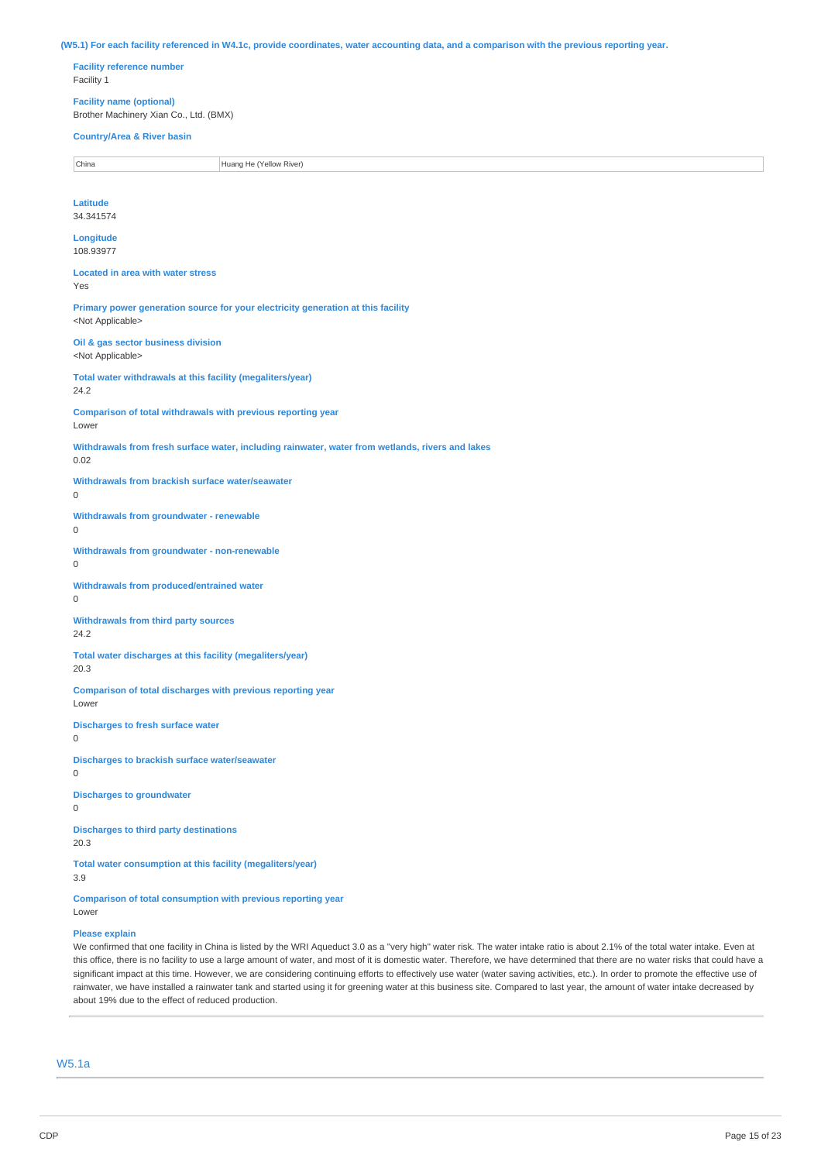(W5.1) For each facility referenced in W4.1c, provide coordinates, water accounting data, and a comparison with the previous reporting year.

**Facility reference number** Facility 1

**Facility name (optional)** Brother Machinery Xian Co., Ltd. (BMX)

# **Country/Area & River basin**

China **Huang He (Yellow River)** 

**Latitude** 34.341574

**Longitude** 108.93977

**Located in area with water stress** Yes

**Primary power generation source for your electricity generation at this facility** <Not Applicable>

**Oil & gas sector business division** <Not Applicable>

**Total water withdrawals at this facility (megaliters/year)**

24.2

**Comparison of total withdrawals with previous reporting year**

# Lower

**Withdrawals from fresh surface water, including rainwater, water from wetlands, rivers and lakes**

0.02

**Withdrawals from brackish surface water/seawater**

# $\Omega$

**Withdrawals from groundwater - renewable**

0

**Withdrawals from groundwater - non-renewable** 0

**Withdrawals from produced/entrained water**  $\Omega$ 

**Withdrawals from third party sources** 24.2

**Total water discharges at this facility (megaliters/year)**

20.3

**Comparison of total discharges with previous reporting year** Lower

**Discharges to fresh surface water**

0

**Discharges to brackish surface water/seawater**  $\Omega$ 

**Discharges to groundwater**  $\Omega$ 

**Discharges to third party destinations**

20.3

**Total water consumption at this facility (megaliters/year)**

3.9

**Comparison of total consumption with previous reporting year** Lower

### **Please explain**

We confirmed that one facility in China is listed by the WRI Aqueduct 3.0 as a "very high" water risk. The water intake ratio is about 2.1% of the total water intake. Even at this office, there is no facility to use a large amount of water, and most of it is domestic water. Therefore, we have determined that there are no water risks that could have a significant impact at this time. However, we are considering continuing efforts to effectively use water (water saving activities, etc.). In order to promote the effective use of rainwater, we have installed a rainwater tank and started using it for greening water at this business site. Compared to last year, the amount of water intake decreased by about 19% due to the effect of reduced production.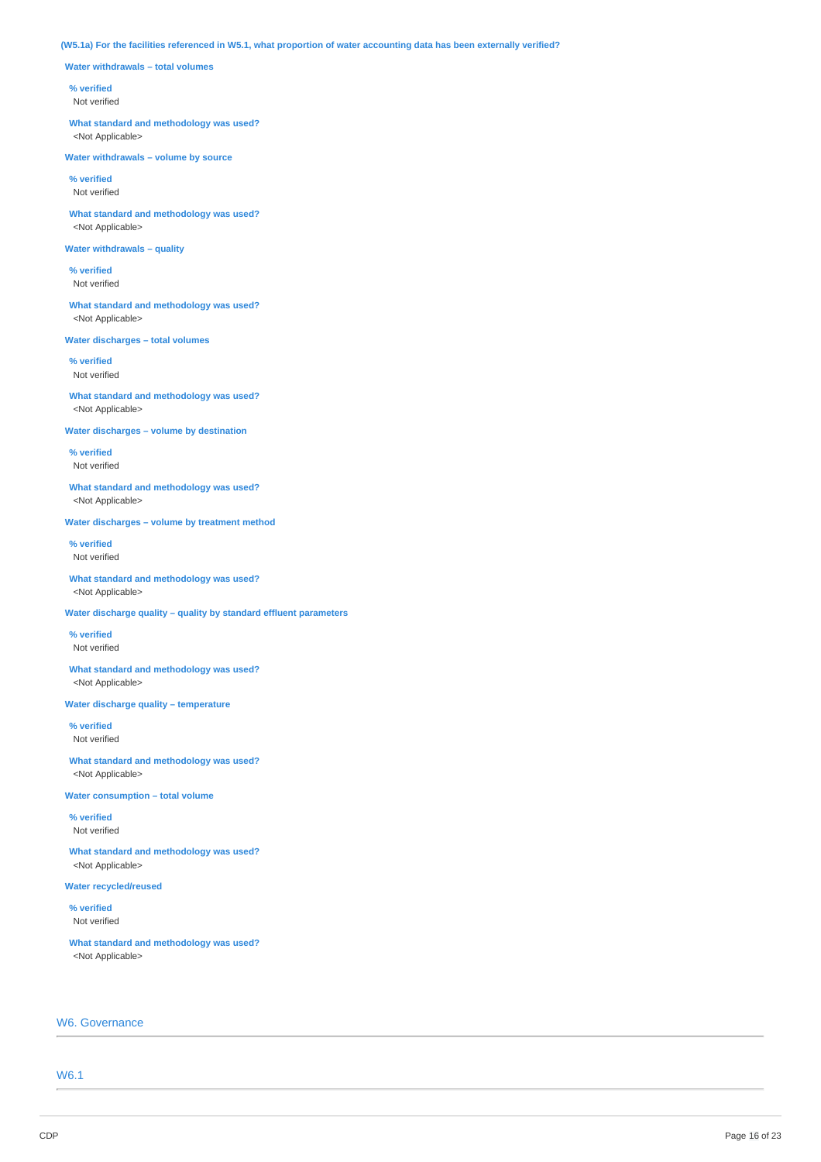### (W5.1a) For the facilities referenced in W5.1, what proportion of water accounting data has been externally verified?

**Water withdrawals – total volumes**

### **% verified**

Not verified

**What standard and methodology was used?** <Not Applicable>

**Water withdrawals – volume by source**

**% verified** Not verified

**What standard and methodology was used?** <Not Applicable>

### **Water withdrawals – quality**

**% verified** Not verified

**What standard and methodology was used?** <Not Applicable>

**Water discharges – total volumes**

**% verified** Not verified

**What standard and methodology was used?** <Not Applicable>

**Water discharges – volume by destination**

**% verified** Not verified

**What standard and methodology was used?** <Not Applicable>

**Water discharges – volume by treatment method**

**% verified** Not verified

**What standard and methodology was used?** <Not Applicable>

**Water discharge quality – quality by standard effluent parameters**

**% verified** Not verified

**What standard and methodology was used?** <Not Applicable>

**Water discharge quality – temperature**

**% verified** Not verified

**What standard and methodology was used?** <Not Applicable>

**Water consumption – total volume**

**% verified** Not verified

**What standard and methodology was used?** <Not Applicable>

**Water recycled/reused**

**% verified** Not verified

**What standard and methodology was used?** <Not Applicable>

# W6. Governance

W6.1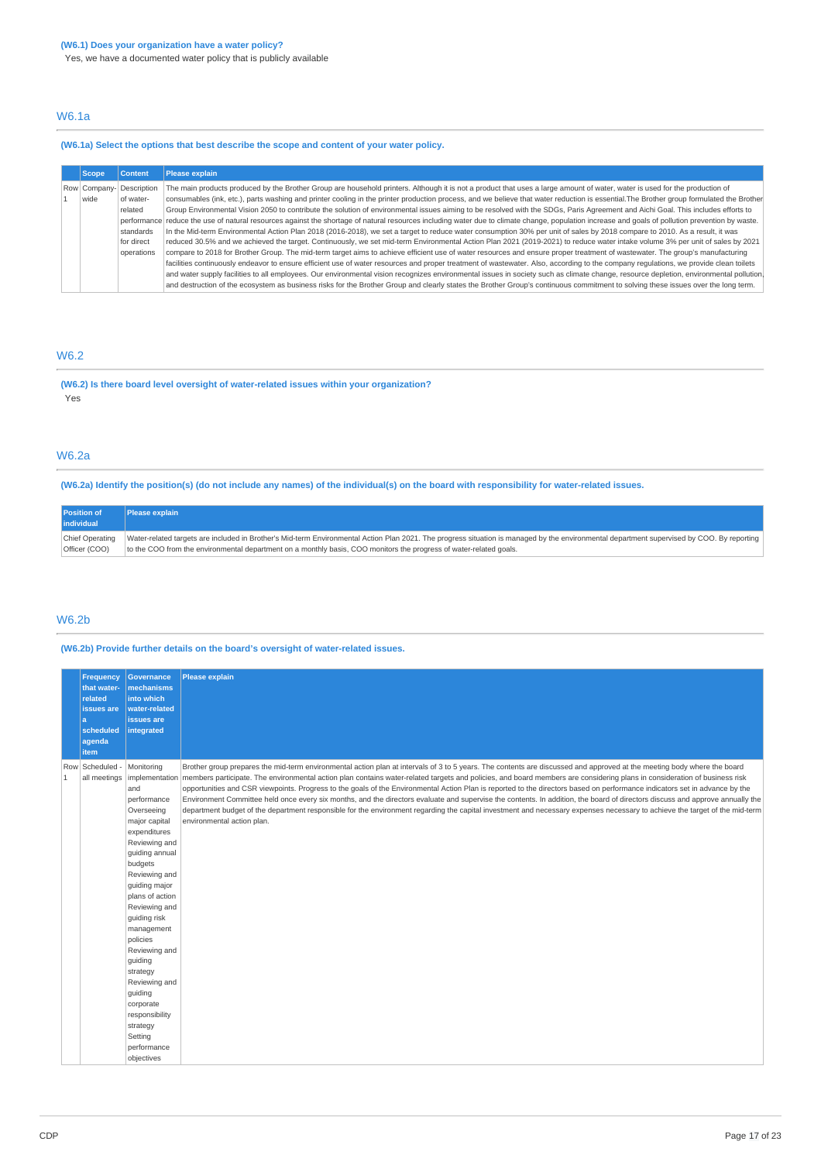Yes, we have a documented water policy that is publicly available

# W6.1a

# **(W6.1a) Select the options that best describe the scope and content of your water policy.**

| <b>Scope</b>             | <b>Content</b> | <b>Please explain</b>                                                                                                                                                                            |
|--------------------------|----------------|--------------------------------------------------------------------------------------------------------------------------------------------------------------------------------------------------|
| Row Company- Description |                | The main products produced by the Brother Group are household printers. Although it is not a product that uses a large amount of water, water is used for the production of                      |
| wide                     | of water-      | consumables (ink, etc.), parts washing and printer cooling in the printer production process, and we believe that water reduction is essential. The Brother group formulated the Brother         |
|                          | related        | Group Environmental Vision 2050 to contribute the solution of environmental issues aiming to be resolved with the SDGs, Paris Agreement and Aichi Goal. This includes efforts to                 |
|                          |                | performance reduce the use of natural resources against the shortage of natural resources including water due to climate change, population increase and goals of pollution prevention by waste. |
|                          | standards      | In the Mid-term Environmental Action Plan 2018 (2016-2018), we set a target to reduce water consumption 30% per unit of sales by 2018 compare to 2010. As a result, it was                       |
|                          | for direct     | reduced 30.5% and we achieved the target. Continuously, we set mid-term Environmental Action Plan 2021 (2019-2021) to reduce water intake volume 3% per unit of sales by 2021                    |
|                          | operations     | compare to 2018 for Brother Group. The mid-term target aims to achieve efficient use of water resources and ensure proper treatment of wastewater. The group's manufacturing                     |
|                          |                | facilities continuously endeavor to ensure efficient use of water resources and proper treatment of wastewater. Also, according to the company regulations, we provide clean toilets             |
|                          |                | and water supply facilities to all employees. Our environmental vision recognizes environmental issues in society such as climate change, resource depletion, environmental pollution,           |
|                          |                | and destruction of the ecosystem as business risks for the Brother Group and clearly states the Brother Group's continuous commitment to solving these issues over the long term.                |

# W6.2

**(W6.2) Is there board level oversight of water-related issues within your organization?** Yes

# W6.2a

(W6.2a) Identify the position(s) (do not include any names) of the individual(s) on the board with responsibility for water-related issues.

| <b>Position of</b><br>individual | <b>Please explain</b>                                                                                                                                                                      |
|----------------------------------|--------------------------------------------------------------------------------------------------------------------------------------------------------------------------------------------|
| Chief Operating                  | Water-related targets are included in Brother's Mid-term Environmental Action Plan 2021. The progress situation is managed by the environmental department supervised by COO. By reporting |
| Officer (COO)                    | to the COO from the environmental department on a monthly basis, COO monitors the progress of water-related goals.                                                                         |

## W6.2b

# **(W6.2b) Provide further details on the board's oversight of water-related issues.**

|              | <b>Frequency</b><br>that water-<br>related<br>issues are<br>a<br>scheduled<br>agenda<br>item | <b>Governance</b><br>mechanisms<br>into which<br>water-related<br>issues are<br>integrated                                                                                                                                                                                                                                                                                                           | <b>Please explain</b>                                                                                                                                                                                                                                                                                                                                                                                                                                                                                                                                                                                                                                                                                                                                                                                                                                                                                                                            |
|--------------|----------------------------------------------------------------------------------------------|------------------------------------------------------------------------------------------------------------------------------------------------------------------------------------------------------------------------------------------------------------------------------------------------------------------------------------------------------------------------------------------------------|--------------------------------------------------------------------------------------------------------------------------------------------------------------------------------------------------------------------------------------------------------------------------------------------------------------------------------------------------------------------------------------------------------------------------------------------------------------------------------------------------------------------------------------------------------------------------------------------------------------------------------------------------------------------------------------------------------------------------------------------------------------------------------------------------------------------------------------------------------------------------------------------------------------------------------------------------|
| $\mathbf{1}$ | Row Scheduled -<br>all meetings                                                              | Monitoring<br>and<br>performance<br>Overseeing<br>major capital<br>expenditures<br>Reviewing and<br>guiding annual<br>budgets<br>Reviewing and<br>guiding major<br>plans of action<br>Reviewing and<br>quiding risk<br>management<br>policies<br>Reviewing and<br>quiding<br>strategy<br>Reviewing and<br>guiding<br>corporate<br>responsibility<br>strategy<br>Setting<br>performance<br>objectives | Brother group prepares the mid-term environmental action plan at intervals of 3 to 5 years. The contents are discussed and approved at the meeting body where the board<br>implementation members participate. The environmental action plan contains water-related targets and policies, and board members are considering plans in consideration of business risk<br>opportunities and CSR viewpoints. Progress to the goals of the Environmental Action Plan is reported to the directors based on performance indicators set in advance by the<br>Environment Committee held once every six months, and the directors evaluate and supervise the contents. In addition, the board of directors discuss and approve annually the<br>department budget of the department responsible for the environment regarding the capital investment and necessary expenses necessary to achieve the target of the mid-term<br>environmental action plan. |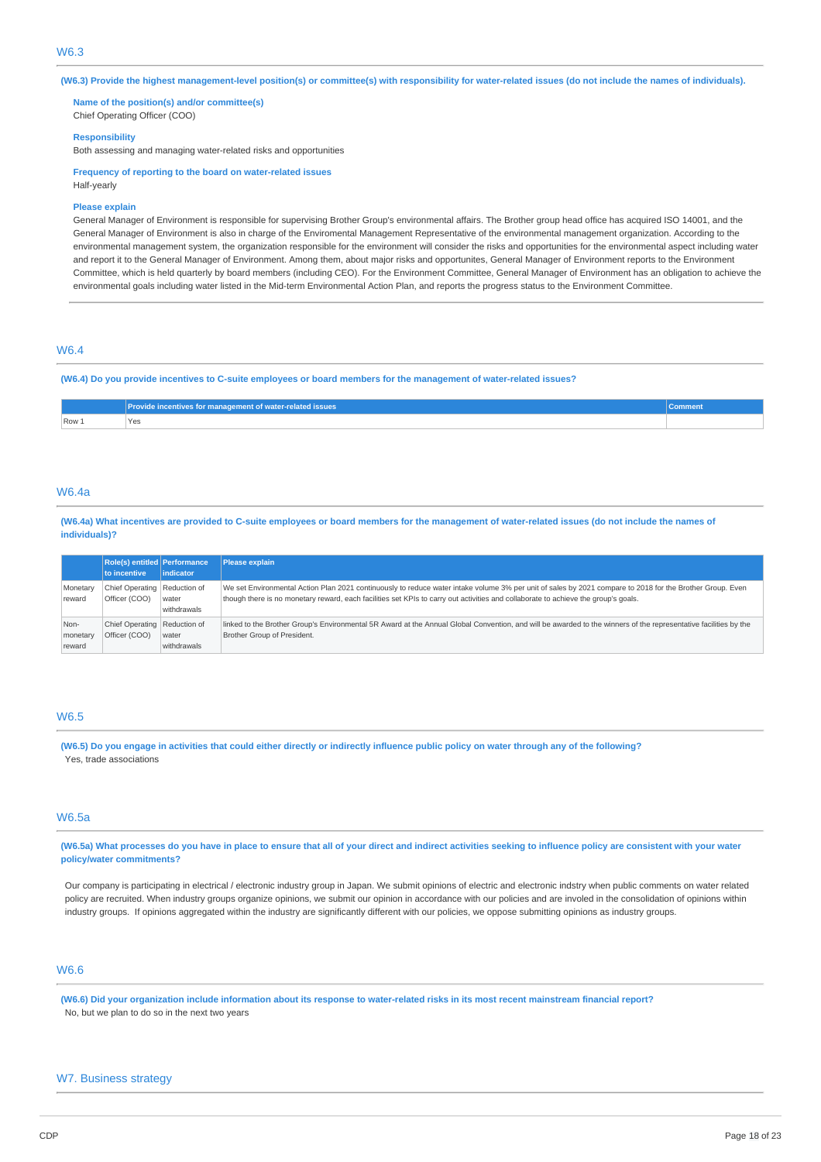(W6.3) Provide the highest management-level position(s) or committee(s) with responsibility for water-related issues (do not include the names of individuals).

**Name of the position(s) and/or committee(s)** Chief Operating Officer (COO)

#### **Responsibility**

Both assessing and managing water-related risks and opportunities

**Frequency of reporting to the board on water-related issues** Half-yearly

### **Please explain**

General Manager of Environment is responsible for supervising Brother Group's environmental affairs. The Brother group head office has acquired ISO 14001, and the General Manager of Environment is also in charge of the Enviromental Management Representative of the environmental management organization. According to the environmental management system, the organization responsible for the environment will consider the risks and opportunities for the environmental aspect including water and report it to the General Manager of Environment. Among them, about major risks and opportunites, General Manager of Environment reports to the Environment Committee, which is held quarterly by board members (including CEO). For the Environment Committee, General Manager of Environment has an obligation to achieve the environmental goals including water listed in the Mid-term Environmental Action Plan, and reports the progress status to the Environment Committee.

# W6.4

(W6.4) Do you provide incentives to C-suite employees or board members for the management of water-related issues?

|       | Provide incentives for management of water-related issues | iomment |
|-------|-----------------------------------------------------------|---------|
| Row 1 | 'Yes                                                      |         |
|       |                                                           |         |

### W6.4a

(W6.4a) What incentives are provided to C-suite employees or board members for the management of water-related issues (do not include the names of **individuals)?**

|                            | <b>Role(s) entitled Performance</b><br>to incentive | lindicator           | Please explain                                                                                                                                                                                                                                                                                  |
|----------------------------|-----------------------------------------------------|----------------------|-------------------------------------------------------------------------------------------------------------------------------------------------------------------------------------------------------------------------------------------------------------------------------------------------|
| Monetary<br>reward         | Chief Operating Reduction of<br>Officer (COO)       | water<br>withdrawals | We set Environmental Action Plan 2021 continuously to reduce water intake volume 3% per unit of sales by 2021 compare to 2018 for the Brother Group. Even<br>though there is no monetary reward, each facilities set KPIs to carry out activities and collaborate to achieve the group's goals. |
| Non-<br>monetary<br>reward | Chief Operating Reduction of<br>Officer (COO)       | water<br>withdrawals | linked to the Brother Group's Environmental 5R Award at the Annual Global Convention, and will be awarded to the winners of the representative facilities by the<br>Brother Group of President.                                                                                                 |

# W6.5

(W6.5) Do you engage in activities that could either directly or indirectly influence public policy on water through any of the following? Yes, trade associations

## W6.5a

(W6.5a) What processes do you have in place to ensure that all of your direct and indirect activities seeking to influence policy are consistent with your water **policy/water commitments?**

Our company is participating in electrical / electronic industry group in Japan. We submit opinions of electric and electronic indstry when public comments on water related policy are recruited. When industry groups organize opinions, we submit our opinion in accordance with our policies and are involed in the consolidation of opinions within industry groups. If opinions aggregated within the industry are significantly different with our policies, we oppose submitting opinions as industry groups.

### W6.6

(W6.6) Did your organization include information about its response to water-related risks in its most recent mainstream financial report? No, but we plan to do so in the next two years

### W7. Business strategy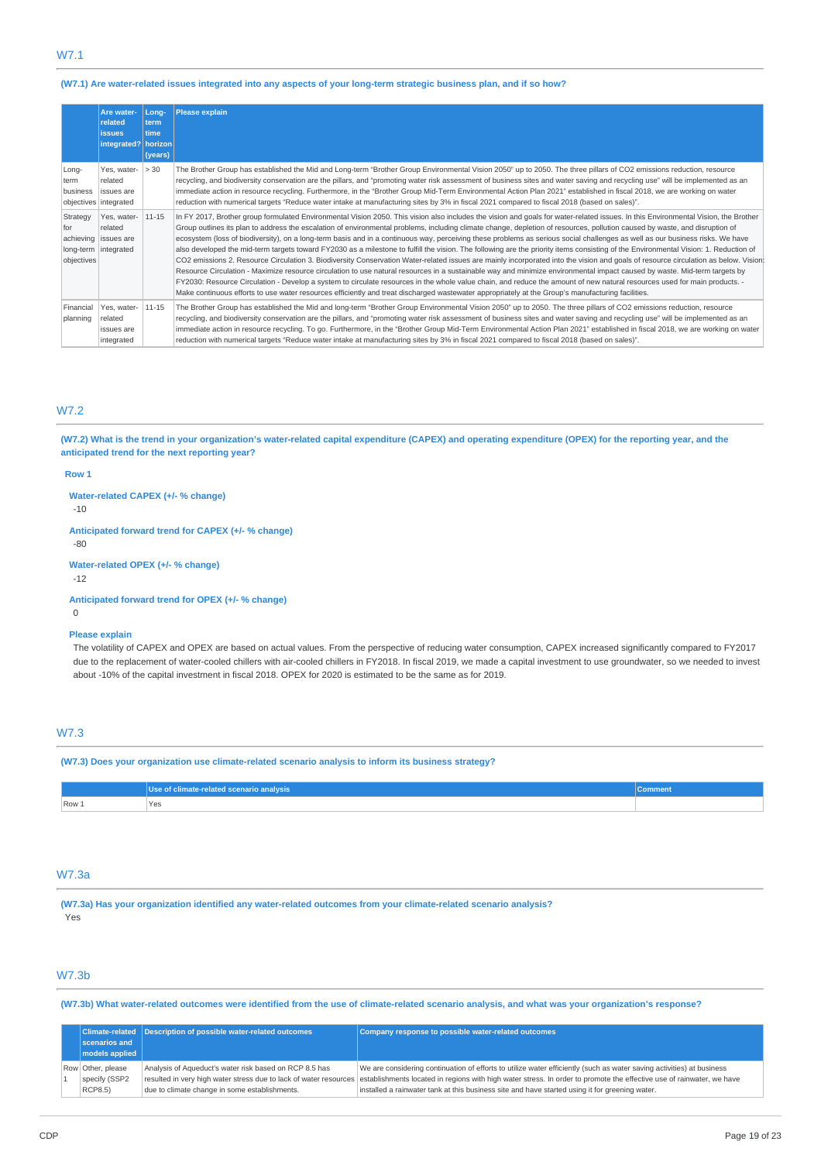# W7.1

### (W7.1) Are water-related issues integrated into any aspects of your long-term strategic business plan, and if so how?

|                               | Are water-<br>related<br><b>issues</b><br>integrated? horizon          | Lona-<br>term<br>time<br>(years) | <b>Please explain</b>                                                                                                                                                                                                                                                                                                                                                                                                                                                                                                                                                                                                                                                                                                                                                                                                                                                                                                                                                                                                                                                                                                                                                                                                                                                                                                                                                                                                                            |
|-------------------------------|------------------------------------------------------------------------|----------------------------------|--------------------------------------------------------------------------------------------------------------------------------------------------------------------------------------------------------------------------------------------------------------------------------------------------------------------------------------------------------------------------------------------------------------------------------------------------------------------------------------------------------------------------------------------------------------------------------------------------------------------------------------------------------------------------------------------------------------------------------------------------------------------------------------------------------------------------------------------------------------------------------------------------------------------------------------------------------------------------------------------------------------------------------------------------------------------------------------------------------------------------------------------------------------------------------------------------------------------------------------------------------------------------------------------------------------------------------------------------------------------------------------------------------------------------------------------------|
| Long-<br>term<br>business     | Yes, water-<br>related<br>issues are<br>objectives   integrated        | > 30                             | The Brother Group has established the Mid and Long-term "Brother Group Environmental Vision 2050" up to 2050. The three pillars of CO2 emissions reduction, resource<br>recycling, and biodiversity conservation are the pillars, and "promoting water risk assessment of business sites and water saving and recycling use" will be implemented as an<br>immediate action in resource recycling. Furthermore, in the "Brother Group Mid-Term Environmental Action Plan 2021" established in fiscal 2018, we are working on water<br>reduction with numerical targets "Reduce water intake at manufacturing sites by 3% in fiscal 2021 compared to fiscal 2018 (based on sales)".                                                                                                                                                                                                                                                                                                                                                                                                                                                                                                                                                                                                                                                                                                                                                                |
| Strategy<br>for<br>objectives | Yes, water-<br>related<br>achieving issues are<br>long-term integrated | $11 - 15$                        | In FY 2017, Brother group formulated Environmental Vision 2050. This vision also includes the vision and goals for water-related issues. In this Environmental Vision, the Brother<br>Group outlines its plan to address the escalation of environmental problems, including climate change, depletion of resources, pollution caused by waste, and disruption of<br>ecosystem (loss of biodiversity), on a long-term basis and in a continuous way, perceiving these problems as serious social challenges as well as our business risks. We have<br>also developed the mid-term targets toward FY2030 as a milestone to fulfill the vision. The following are the priority items consisting of the Environmental Vision: 1. Reduction of<br>CO2 emissions 2. Resource Circulation 3. Biodiversity Conservation Water-related issues are mainly incorporated into the vision and goals of resource circulation as below. Vision:<br>Resource Circulation - Maximize resource circulation to use natural resources in a sustainable way and minimize environmental impact caused by waste. Mid-term targets by<br>FY2030: Resource Circulation - Develop a system to circulate resources in the whole value chain, and reduce the amount of new natural resources used for main products. -<br>Make continuous efforts to use water resources efficiently and treat discharged wastewater appropriately at the Group's manufacturing facilities. |
| Financial<br>planning         | Yes, water-<br>related<br>issues are<br>integrated                     | $11 - 15$                        | The Brother Group has established the Mid and long-term "Brother Group Environmental Vision 2050" up to 2050. The three pillars of CO2 emissions reduction, resource<br>recycling, and biodiversity conservation are the pillars, and "promoting water risk assessment of business sites and water saving and recycling use" will be implemented as an<br>immediate action in resource recycling. To go. Furthermore, in the "Brother Group Mid-Term Environmental Action Plan 2021" established in fiscal 2018, we are working on water<br>reduction with numerical targets "Reduce water intake at manufacturing sites by 3% in fiscal 2021 compared to fiscal 2018 (based on sales)".                                                                                                                                                                                                                                                                                                                                                                                                                                                                                                                                                                                                                                                                                                                                                         |

### W7.2

(W7.2) What is the trend in your organization's water-related capital expenditure (CAPEX) and operating expenditure (OPEX) for the reporting year, and the **anticipated trend for the next reporting year?**

#### **Row 1**

**Water-related CAPEX (+/- % change)**

-10

**Anticipated forward trend for CAPEX (+/- % change)**

-80

**Water-related OPEX (+/- % change)** -12

**Anticipated forward trend for OPEX (+/- % change)**

 $\Omega$ 

### **Please explain**

The volatility of CAPEX and OPEX are based on actual values. From the perspective of reducing water consumption, CAPEX increased significantly compared to FY2017 due to the replacement of water-cooled chillers with air-cooled chillers in FY2018. In fiscal 2019, we made a capital investment to use groundwater, so we needed to invest about -10% of the capital investment in fiscal 2018. OPEX for 2020 is estimated to be the same as for 2019.

# W7.3

**(W7.3) Does your organization use climate-related scenario analysis to inform its business strategy?**

|       | of climate-related scenario analysis \ | <b>COMMITMENT</b> |
|-------|----------------------------------------|-------------------|
| Row 1 | Yes                                    |                   |

### W7.3a

**(W7.3a) Has your organization identified any water-related outcomes from your climate-related scenario analysis?** Yes

## W7.3b

(W7.3b) What water-related outcomes were identified from the use of climate-related scenario analysis, and what was your organization's response?

|  |                        | Climate-related Description of possible water-related outcomes | Company response to possible water-related outcomes                                                                                                                                     |  |
|--|------------------------|----------------------------------------------------------------|-----------------------------------------------------------------------------------------------------------------------------------------------------------------------------------------|--|
|  | scenarios and          |                                                                |                                                                                                                                                                                         |  |
|  | $ $ models applied $ $ |                                                                |                                                                                                                                                                                         |  |
|  | Row Other, please      | Analysis of Aqueduct's water risk based on RCP 8.5 has         | We are considering continuation of efforts to utilize water efficiently (such as water saving activities) at business                                                                   |  |
|  | specify (SSP2          |                                                                | resulted in very high water stress due to lack of water resources establishments located in regions with high water stress. In order to promote the effective use of rainwater, we have |  |
|  | <b>RCP8.5</b> )        | due to climate change in some establishments.                  | installed a rainwater tank at this business site and have started using it for greening water.                                                                                          |  |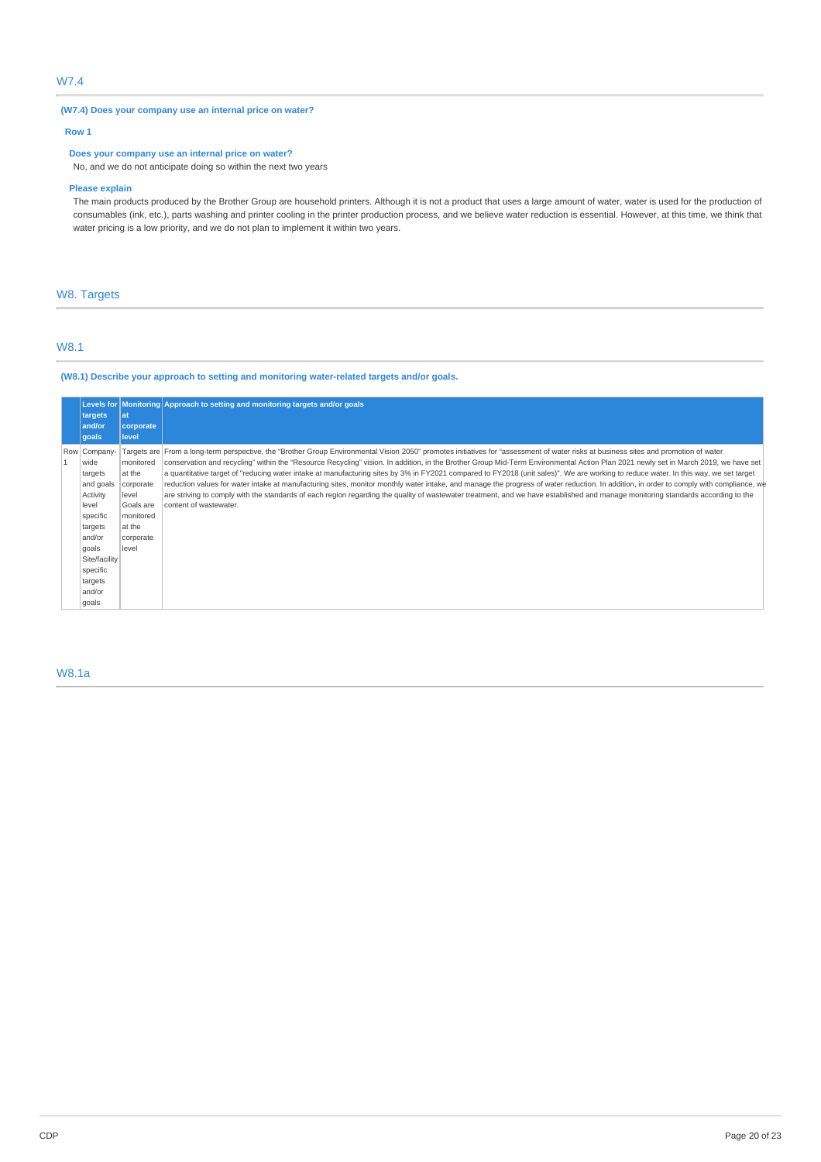# W7.4

### **(W7.4) Does your company use an internal price on water?**

# **Row 1**

# **Does your company use an internal price on water?**

No, and we do not anticipate doing so within the next two years

### **Please explain**

The main products produced by the Brother Group are household printers. Although it is not a product that uses a large amount of water, water is used for the production of consumables (ink, etc.), parts washing and printer cooling in the printer production process, and we believe water reduction is essential. However, at this time, we think that water pricing is a low priority, and we do not plan to implement it within two years.

# W8. Targets

# W8.1

**(W8.1) Describe your approach to setting and monitoring water-related targets and/or goals.**

|                   |                  | Levels for Monitoring Approach to setting and monitoring targets and/or goals                                                                                                           |
|-------------------|------------------|-----------------------------------------------------------------------------------------------------------------------------------------------------------------------------------------|
| targets<br>and/or | lat<br>corporate |                                                                                                                                                                                         |
| qoals             | level            |                                                                                                                                                                                         |
| Row Company-      |                  | Targets are From a long-term perspective, the "Brother Group Environmental Vision 2050" promotes initiatives for "assessment of water risks at business sites and promotion of water    |
| wide              | monitored        | conservation and recycling" within the "Resource Recycling" vision. In addition, in the Brother Group Mid-Term Environmental Action Plan 2021 newly set in March 2019, we have set      |
| targets           | at the           | a quantitative target of "reducing water intake at manufacturing sites by 3% in FY2021 compared to FY2018 (unit sales)". We are working to reduce water. In this way, we set target     |
| and goals         | corporate        | reduction values for water intake at manufacturing sites, monitor monthly water intake, and manage the progress of water reduction. In addition, in order to comply with compliance, we |
| Activity          | level            | are striving to comply with the standards of each region regarding the quality of wastewater treatment, and we have established and manage monitoring standards according to the        |
| level             | Goals are        | content of wastewater.                                                                                                                                                                  |
| specific          | monitored        |                                                                                                                                                                                         |
| targets           | at the           |                                                                                                                                                                                         |
| and/or            | corporate        |                                                                                                                                                                                         |
| goals             | level            |                                                                                                                                                                                         |
| Site/facility     |                  |                                                                                                                                                                                         |
| specific          |                  |                                                                                                                                                                                         |
| targets           |                  |                                                                                                                                                                                         |
| and/or            |                  |                                                                                                                                                                                         |
| goals             |                  |                                                                                                                                                                                         |

# W8.1a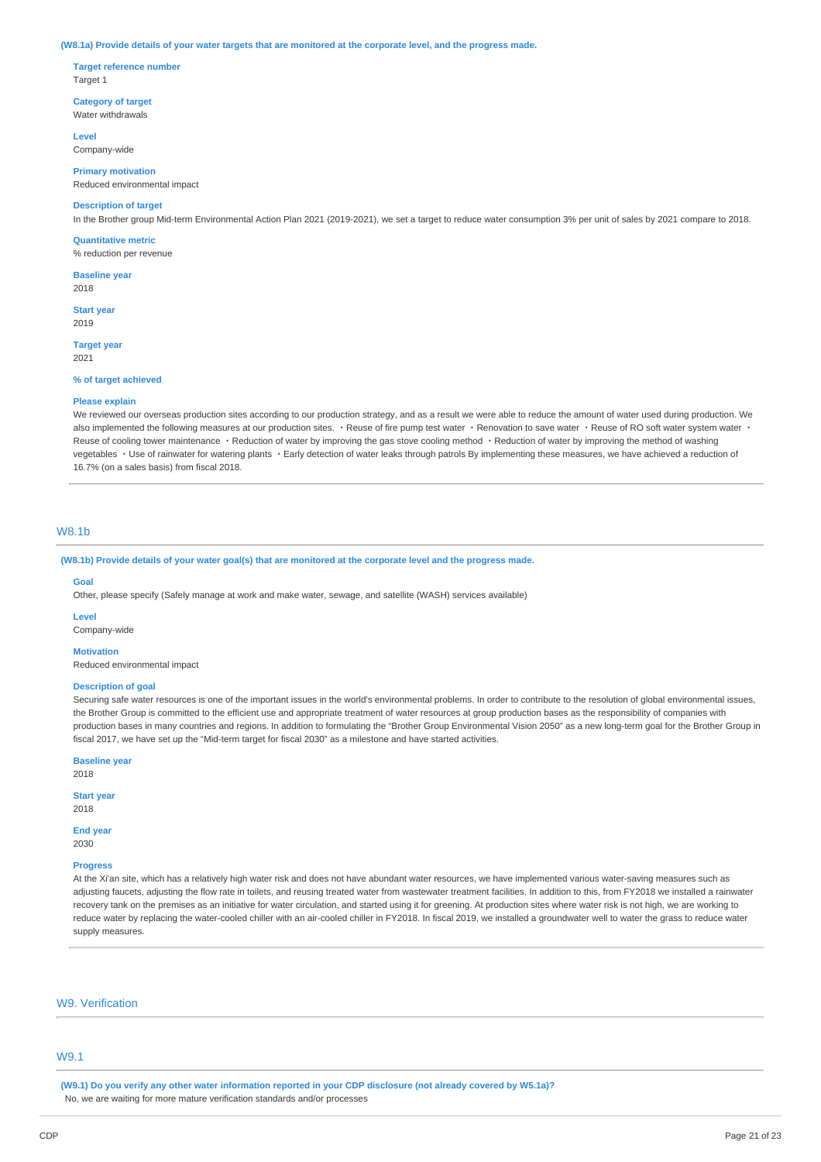#### (W8.1a) Provide details of your water targets that are monitored at the corporate level, and the progress made.

**Target reference number** Target 1

**Category of target** Water withdrawals

**Level** Company-wide

**Primary motivation** Reduced environmental impact

### **Description of target**

In the Brother group Mid-term Environmental Action Plan 2021 (2019-2021), we set a target to reduce water consumption 3% per unit of sales by 2021 compare to 2018.

**Quantitative metric**

% reduction per revenue

**Baseline year** 2018

**Start year** 2019

**Target year**

2021

### **% of target achieved**

### **Please explain**

We reviewed our overseas production sites according to our production strategy, and as a result we were able to reduce the amount of water used during production. We also implemented the following measures at our production sites. · Reuse of fire pump test water · Renovation to save water · Reuse of RO soft water system water · Reuse of cooling tower maintenance · Reduction of water by improving the gas stove cooling method · Reduction of water by improving the method of washing vegetables ・Use of rainwater for watering plants ・Early detection of water leaks through patrols By implementing these measures, we have achieved a reduction of 16.7% (on a sales basis) from fiscal 2018.

## W8.1b

(W8.1b) Provide details of your water goal(s) that are monitored at the corporate level and the progress made.

#### **Goal**

Other, please specify (Safely manage at work and make water, sewage, and satellite (WASH) services available)

**Level**

Company-wide

#### **Motivation**

Reduced environmental impact

### **Description of goal**

Securing safe water resources is one of the important issues in the world's environmental problems. In order to contribute to the resolution of global environmental issues, the Brother Group is committed to the efficient use and appropriate treatment of water resources at group production bases as the responsibility of companies with production bases in many countries and regions. In addition to formulating the "Brother Group Environmental Vision 2050" as a new long-term goal for the Brother Group in fiscal 2017, we have set up the "Mid-term target for fiscal 2030" as a milestone and have started activities.

**Baseline year**

**Start year**

2018

#### 2018

**End year**

2030

### **Progress**

At the Xi'an site, which has a relatively high water risk and does not have abundant water resources, we have implemented various water-saving measures such as adjusting faucets, adjusting the flow rate in toilets, and reusing treated water from wastewater treatment facilities. In addition to this, from FY2018 we installed a rainwater recovery tank on the premises as an initiative for water circulation, and started using it for greening. At production sites where water risk is not high, we are working to reduce water by replacing the water-cooled chiller with an air-cooled chiller in FY2018. In fiscal 2019, we installed a groundwater well to water the grass to reduce water supply measures.

### W9. Verification

### W9.1

(W9.1) Do you verify any other water information reported in your CDP disclosure (not already covered by W5.1a)? No, we are waiting for more mature verification standards and/or processes